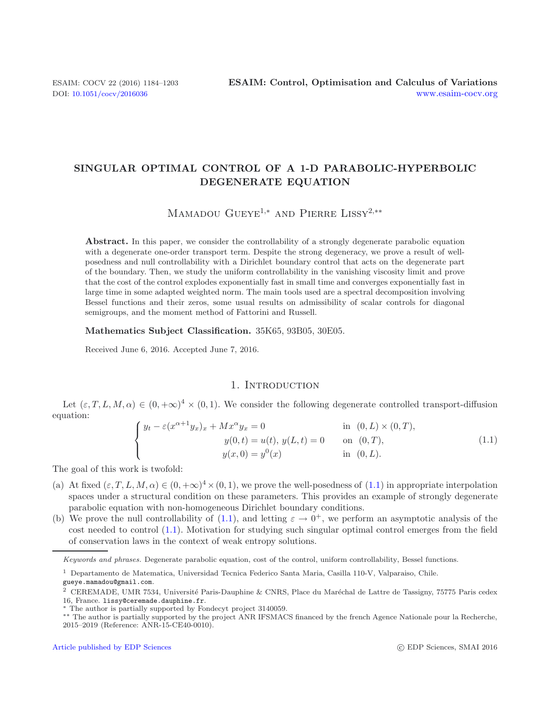# **SINGULAR OPTIMAL CONTROL OF A 1-D PARABOLIC-HYPERBOLIC DEGENERATE EQUATION**

Mamadou Gueye<sup>1</sup>*,*<sup>∗</sup> and Pierre Lissy<sup>2</sup>*,*∗∗

<span id="page-0-0"></span>Abstract. In this paper, we consider the controllability of a strongly degenerate parabolic equation with a degenerate one-order transport term. Despite the strong degeneracy, we prove a result of wellposedness and null controllability with a Dirichlet boundary control that acts on the degenerate part of the boundary. Then, we study the uniform controllability in the vanishing viscosity limit and prove that the cost of the control explodes exponentially fast in small time and converges exponentially fast in large time in some adapted weighted norm. The main tools used are a spectral decomposition involving Bessel functions and their zeros, some usual results on admissibility of scalar controls for diagonal semigroups, and the moment method of Fattorini and Russell.

#### **Mathematics Subject Classification.** 35K65, 93B05, 30E05.

Received June 6, 2016. Accepted June 7, 2016.

# 1. INTRODUCTION

Let  $(\varepsilon, T, L, M, \alpha) \in (0, +\infty)^4 \times (0, 1)$ . We consider the following degenerate controlled transport-diffusion equation:

$$
\begin{cases}\ny_t - \varepsilon (x^{\alpha+1} y_x)_x + M x^{\alpha} y_x = 0 & \text{in } (0, L) \times (0, T), \\
y(0, t) = u(t), y(L, t) = 0 & \text{on } (0, T), \\
y(x, 0) = y^0(x) & \text{in } (0, L).\n\end{cases}
$$
\n(1.1)

The goal of this work is twofold:

- (a) At fixed  $(\varepsilon, T, L, M, \alpha) \in (0, +\infty)^4 \times (0, 1)$ , we prove the well-posedness of  $(1.1)$  in appropriate interpolation spaces under a structural condition on these parameters. This provides an example of strongly degenerate parabolic equation with non-homogeneous Dirichlet boundary conditions.
- (b) We prove the null controllability of [\(1.1\)](#page-0-0), and letting  $\varepsilon \to 0^+$ , we perform an asymptotic analysis of the cost needed to control [\(1.1\)](#page-0-0). Motivation for studying such singular optimal control emerges from the field of conservation laws in the context of weak entropy solutions.

Keywords and phrases. Degenerate parabolic equation, cost of the control, uniform controllability, Bessel functions.

<sup>1</sup> Departamento de Matematica, Universidad Tecnica Federico Santa Maria, Casilla 110-V, Valparaiso, Chile. gueye.mamadou@gmail.com.

<sup>&</sup>lt;sup>2</sup> CEREMADE, UMR 7534, Université Paris-Dauphine & CNRS, Place du Maréchal de Lattre de Tassigny, 75775 Paris cedex 16, France. lissy@ceremade.dauphine.fr.

The author is partially supported by Fondecyt project 3140059.

<sup>∗∗</sup> The author is partially supported by the project ANR IFSMACS financed by the french Agence Nationale pour la Recherche, 2015–2019 (Reference: ANR-15-CE40-0010).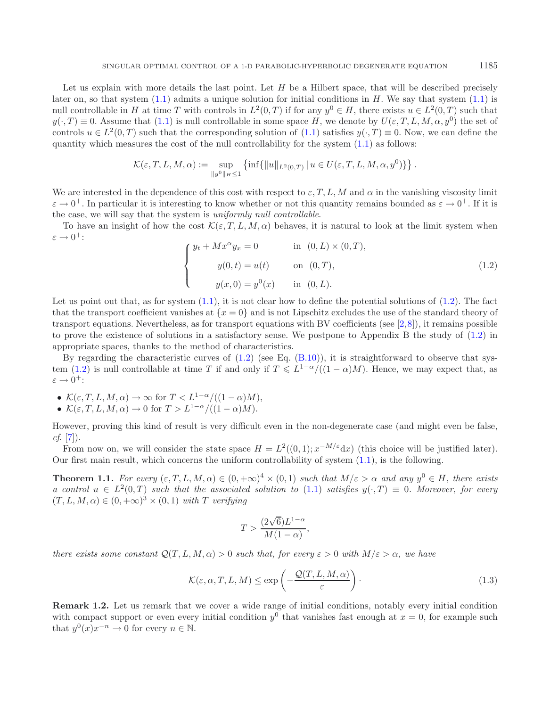<span id="page-1-0"></span>Let us explain with more details the last point. Let  $H$  be a Hilbert space, that will be described precisely later on, so that system  $(1.1)$  admits a unique solution for initial conditions in H. We say that system  $(1.1)$  is null controllable in H at time T with controls in  $L^2(0,T)$  if for any  $y^0 \in H$ , there exists  $u \in L^2(0,T)$  such that  $y(\cdot,T) \equiv 0$ . Assume that  $(1.1)$  is null controllable in some space H, we denote by  $U(\varepsilon, T, L, M, \alpha, y^0)$  the set of controls  $u \in L^2(0,T)$  such that the corresponding solution of  $(1.1)$  satisfies  $y(\cdot,T) \equiv 0$ . Now, we can define the quantity which measures the cost of the null controllability for the system  $(1.1)$  as follows:

$$
\mathcal{K}(\varepsilon,T,L,M,\alpha):=\sup_{\|y^0\|_H\leq 1}\left\{\inf\{\|u\|_{L^2(0,T)}\,|\,u\in U\big(\varepsilon,T,L,M,\alpha,y^0\big)\}\right\}.
$$

We are interested in the dependence of this cost with respect to  $\varepsilon, T, L, M$  and  $\alpha$  in the vanishing viscosity limit  $\varepsilon \to 0^+$ . In particular it is interesting to know whether or not this quantity remains bounded as  $\varepsilon \to 0^+$ . If it is the case, we will say that the system is *uniformly null controllable*.

To have an insight of how the cost  $\mathcal{K}(\varepsilon, T, L, M, \alpha)$  behaves, it is natural to look at the limit system when  $\varepsilon \to 0^+$ :

<span id="page-1-1"></span>
$$
\begin{cases}\n y_t + Mx^{\alpha} y_x = 0 & \text{in } (0, L) \times (0, T), \\
 y(0, t) = u(t) & \text{on } (0, T), \\
 y(x, 0) = y^0(x) & \text{in } (0, L).\n\end{cases}
$$
\n(1.2)

Let us point out that, as for system  $(1.1)$ , it is not clear how to define the potential solutions of  $(1.2)$ . The fact that the transport coefficient vanishes at  $\{x=0\}$  and is not Lipschitz excludes the use of the standard theory of transport equations. Nevertheless, as for transport equations with BV coefficients (see  $[2,8]$  $[2,8]$  $[2,8]$ ), it remains possible to prove the existence of solutions in a satisfactory sense. We postpone to Appendix B the study of [\(1.2\)](#page-1-0) in appropriate spaces, thanks to the method of characteristics.

By regarding the characteristic curves of  $(1.2)$  (see Eq.  $(B.10)$ ), it is straightforward to observe that sys-tem [\(1.2\)](#page-1-0) is null controllable at time T if and only if  $T \n\leq L^{1-\alpha}/((1-\alpha)M)$ . Hence, we may expect that, as  $\varepsilon \to 0^+$ :

- $\mathcal{K}(\varepsilon, T, L, M, \alpha) \to \infty$  for  $T < L^{1-\alpha}/((1-\alpha)M)$ ,
- $\mathcal{K}(\varepsilon, T, L, M, \alpha) \to 0$  for  $T > L^{1-\alpha}/((1-\alpha)M)$ .

However, proving this kind of result is very difficult even in the non-degenerate case (and might even be false, *cf*. [\[7](#page-18-2)]).

From now on, we will consider the state space  $H = L^2((0,1); x^{-M/\epsilon}dx)$  (this choice will be justified later). Our first main result, which concerns the uniform controllability of system [\(1.1\)](#page-0-0), is the following.

**Theorem 1.1.** *For every*  $(\varepsilon, T, L, M, \alpha) \in (0, +\infty)^4 \times (0, 1)$  *such that*  $M/\varepsilon > \alpha$  *and any*  $y^0 \in H$ *, there exists a control*  $u \in L^2(0,T)$  *such that the associated solution to* [\(1.1\)](#page-0-0) *satisfies*  $y(\cdot,T) \equiv 0$ *. Moreover, for every*  $(T, L, M, \alpha) \in (0, +\infty)^3 \times (0, 1)$  *with* T *verifying* 

<span id="page-1-3"></span>
$$
T > \frac{(2\sqrt{6})L^{1-\alpha}}{M(1-\alpha)},
$$

*there exists some constant*  $Q(T, L, M, \alpha) > 0$  *such that, for every*  $\varepsilon > 0$  *with*  $M/\varepsilon > \alpha$ *, we have* 

$$
\mathcal{K}(\varepsilon, \alpha, T, L, M) \le \exp\left(-\frac{\mathcal{Q}(T, L, M, \alpha)}{\varepsilon}\right). \tag{1.3}
$$

<span id="page-1-2"></span>**Remark 1.2.** Let us remark that we cover a wide range of initial conditions, notably every initial condition with compact support or even every initial condition  $y^0$  that vanishes fast enough at  $x = 0$ , for example such that  $y^{0}(x)x^{-n} \to 0$  for every  $n \in \mathbb{N}$ .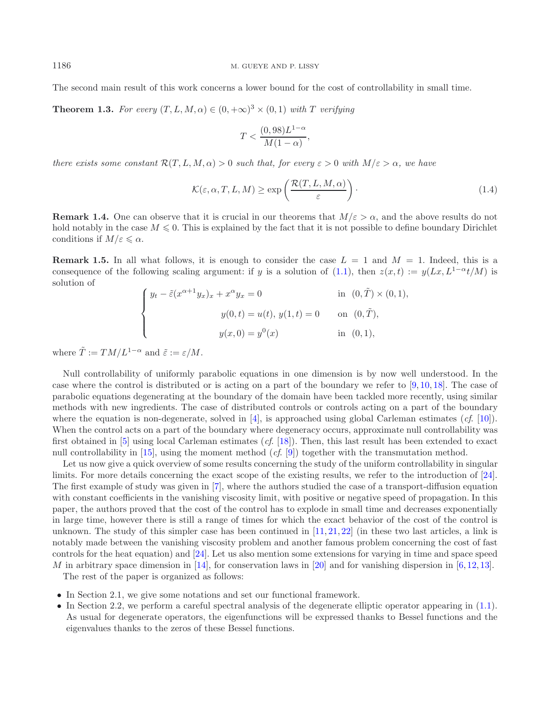<span id="page-2-0"></span>The second main result of this work concerns a lower bound for the cost of controllability in small time.

**Theorem 1.3.** *For every*  $(T, L, M, \alpha) \in (0, +\infty)^3 \times (0, 1)$  *with* T *verifying* 

<span id="page-2-2"></span>
$$
T < \frac{(0,98)L^{1-\alpha}}{M(1-\alpha)},
$$

*there exists some constant*  $\mathcal{R}(T, L, M, \alpha) > 0$  *such that, for every*  $\varepsilon > 0$  *with*  $M/\varepsilon > \alpha$ *, we have* 

$$
\mathcal{K}(\varepsilon, \alpha, T, L, M) \ge \exp\left(\frac{\mathcal{R}(T, L, M, \alpha)}{\varepsilon}\right). \tag{1.4}
$$

<span id="page-2-1"></span>**Remark 1.4.** One can observe that it is crucial in our theorems that  $M/\varepsilon > \alpha$ , and the above results do not hold notably in the case  $M \leq 0$ . This is explained by the fact that it is not possible to define boundary Dirichlet conditions if  $M/\varepsilon \leqslant \alpha$ .

**Remark 1.5.** In all what follows, it is enough to consider the case  $L = 1$  and  $M = 1$ . Indeed, this is a consequence of the following scaling argument: if y is a solution of [\(1.1\)](#page-0-0), then  $z(x, t) := y(Lx, L^{1-\alpha}t/M)$  is solution of

$$
\begin{cases}\ny_t - \tilde{\varepsilon}(x^{\alpha+1}y_x)_x + x^{\alpha}y_x = 0 & \text{in } (0, \tilde{T}) \times (0, 1), \\
y(0, t) = u(t), y(1, t) = 0 & \text{on } (0, \tilde{T}), \\
y(x, 0) = y^0(x) & \text{in } (0, 1),\n\end{cases}
$$

where  $\tilde{T} := TM/L^{1-\alpha}$  and  $\tilde{\varepsilon} := \varepsilon/M$ .

Null controllability of uniformly parabolic equations in one dimension is by now well understood. In the case where the control is distributed or is acting on a part of the boundary we refer to  $[9, 10, 18]$  $[9, 10, 18]$  $[9, 10, 18]$  $[9, 10, 18]$  $[9, 10, 18]$  $[9, 10, 18]$ . The case of parabolic equations degenerating at the boundary of the domain have been tackled more recently, using similar methods with new ingredients. The case of distributed controls or controls acting on a part of the boundary where the equation is non-degenerate, solved in [\[4](#page-18-5)], is approached using global Carleman estimates (*cf*. [\[10](#page-18-4)]). When the control acts on a part of the boundary where degeneracy occurs, approximate null controllability was first obtained in [\[5\]](#page-18-6) using local Carleman estimates (*cf*. [\[18\]](#page-19-0)). Then, this last result has been extended to exact null controllability in [\[15\]](#page-19-1), using the moment method (*cf*. [\[9\]](#page-18-3)) together with the transmutation method.

Let us now give a quick overview of some results concerning the study of the uniform controllability in singular limits. For more details concerning the exact scope of the existing results, we refer to the introduction of [\[24](#page-19-2)]. The first example of study was given in [\[7](#page-18-2)], where the authors studied the case of a transport-diffusion equation with constant coefficients in the vanishing viscosity limit, with positive or negative speed of propagation. In this paper, the authors proved that the cost of the control has to explode in small time and decreases exponentially in large time, however there is still a range of times for which the exact behavior of the cost of the control is unknown. The study of this simpler case has been continued in  $[11, 21, 22]$  $[11, 21, 22]$  $[11, 21, 22]$  $[11, 21, 22]$  $[11, 21, 22]$  (in these two last articles, a link is notably made between the vanishing viscosity problem and another famous problem concerning the cost of fast controls for the heat equation) and [\[24](#page-19-2)]. Let us also mention some extensions for varying in time and space speed M in arbitrary space dimension in [\[14\]](#page-18-8), for conservation laws in [\[20\]](#page-19-5) and for vanishing dispersion in [\[6,](#page-18-9) [12,](#page-18-10) [13\]](#page-18-11).

The rest of the paper is organized as follows:

- In Section 2.1, we give some notations and set our functional framework.
- In Section 2.2, we perform a careful spectral analysis of the degenerate elliptic operator appearing in [\(1.1\)](#page-0-0). As usual for degenerate operators, the eigenfunctions will be expressed thanks to Bessel functions and the eigenvalues thanks to the zeros of these Bessel functions.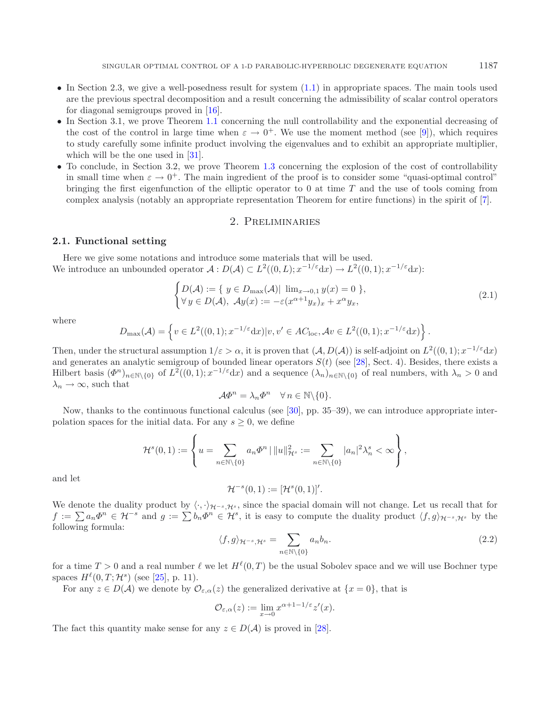- In Section 2.3, we give a well-posedness result for system  $(1.1)$  in appropriate spaces. The main tools used are the previous spectral decomposition and a result concerning the admissibility of scalar control operators for diagonal semigroups proved in [\[16](#page-19-6)].
- In Section 3.1, we prove Theorem [1.1](#page-1-1) concerning the null controllability and the exponential decreasing of the cost of the control in large time when  $\varepsilon \to 0^+$ . We use the moment method (see [\[9\]](#page-18-3)), which requires to study carefully some infinite product involving the eigenvalues and to exhibit an appropriate multiplier, which will be the one used in [\[31](#page-19-7)].
- To conclude, in Section 3.2, we prove Theorem [1.3](#page-2-0) concerning the explosion of the cost of controllability in small time when  $\varepsilon \to 0^+$ . The main ingredient of the proof is to consider some "quasi-optimal control" bringing the first eigenfunction of the elliptic operator to  $0$  at time  $T$  and the use of tools coming from complex analysis (notably an appropriate representation Theorem for entire functions) in the spirit of [\[7](#page-18-2)].

## <span id="page-3-0"></span>2. Preliminaries

# **2.1. Functional setting**

Here we give some notations and introduce some materials that will be used. We introduce an unbounded operator  $\mathcal{A}: D(\mathcal{A}) \subset L^2((0,L); x^{-1/\varepsilon} dx) \to L^2((0,1); x^{-1/\varepsilon} dx)$ :

$$
\begin{cases} D(\mathcal{A}) := \{ y \in D_{\max}(\mathcal{A}) | \lim_{x \to 0, 1} y(x) = 0 \}, \\ \forall y \in D(\mathcal{A}), \ \mathcal{A}y(x) := -\varepsilon (x^{\alpha+1} y_x)_x + x^{\alpha} y_x, \end{cases} \tag{2.1}
$$

where

$$
D_{\max}(\mathcal{A}) = \left\{ v \in L^2((0,1); x^{-1/\varepsilon} dx) | v, v' \in AC_{\text{loc}}, \mathcal{A}v \in L^2((0,1); x^{-1/\varepsilon} dx) \right\}.
$$

Then, under the structural assumption  $1/\varepsilon > \alpha$ , it is proven that  $(\mathcal{A}, D(\mathcal{A}))$  is self-adjoint on  $L^2((0,1); x^{-1/\varepsilon}dx)$ and generates an analytic semigroup of bounded linear operators  $S(t)$  (see [\[28](#page-19-8)], Sect. 4). Besides, there exists a Hilbert basis  $(\Phi^n)_{n\in\mathbb{N}\setminus\{0\}}$  of  $L^2((0,1); x^{-1/\epsilon}dx)$  and a sequence  $(\lambda_n)_{n\in\mathbb{N}\setminus\{0\}}$  of real numbers, with  $\lambda_n > 0$  and  $\lambda_n \to \infty$ , such that

$$
\mathcal{A}\varPhi^n = \lambda_n \varPhi^n \quad \forall n \in \mathbb{N} \backslash \{0\}.
$$

<span id="page-3-1"></span>Now, thanks to the continuous functional calculus (see [\[30\]](#page-19-9), pp. 35–39), we can introduce appropriate interpolation spaces for the initial data. For any  $s \geq 0$ , we define

$$
\mathcal{H}^s(0,1) := \left\{ u = \sum_{n \in \mathbb{N} \setminus \{0\}} a_n \varPhi^n \mid ||u||^2_{\mathcal{H}^s} := \sum_{n \in \mathbb{N} \setminus \{0\}} |a_n|^2 \lambda_n^s < \infty \right\},
$$

and let

$$
\mathcal{H}^{-s}(0,1) := [\mathcal{H}^s(0,1)]'.
$$

We denote the duality product by  $\langle \cdot, \cdot \rangle_{\mathcal{H}^{-s}, \mathcal{H}^s}$ , since the spacial domain will not change. Let us recall that for  $f := \sum a_n \Phi^n \in \mathcal{H}^{-s}$  and  $g := \sum b_n \Phi^n \in \mathcal{H}^s$ , it is easy to compute the duality product  $\langle f, g \rangle_{\mathcal{H}^{-s}, \mathcal{H}^s}$  by the following formula:

$$
\langle f, g \rangle_{\mathcal{H}^{-s}, \mathcal{H}^s} = \sum_{n \in \mathbb{N} \setminus \{0\}} a_n b_n. \tag{2.2}
$$

for a time  $T > 0$  and a real number  $\ell$  we let  $H^{\ell}(0,T)$  be the usual Sobolev space and we will use Bochner type spaces  $H^{\ell}(0, T; \mathcal{H}^s)$  (see [\[25\]](#page-19-10), p. 11).

For any  $z \in D(\mathcal{A})$  we denote by  $\mathcal{O}_{\varepsilon,\alpha}(z)$  the generalized derivative at  $\{x=0\}$ , that is

$$
\mathcal{O}_{\varepsilon,\alpha}(z) := \lim_{x \to 0} x^{\alpha+1-1/\varepsilon} z'(x).
$$

The fact this quantity make sense for any  $z \in D(\mathcal{A})$  is proved in [\[28](#page-19-8)].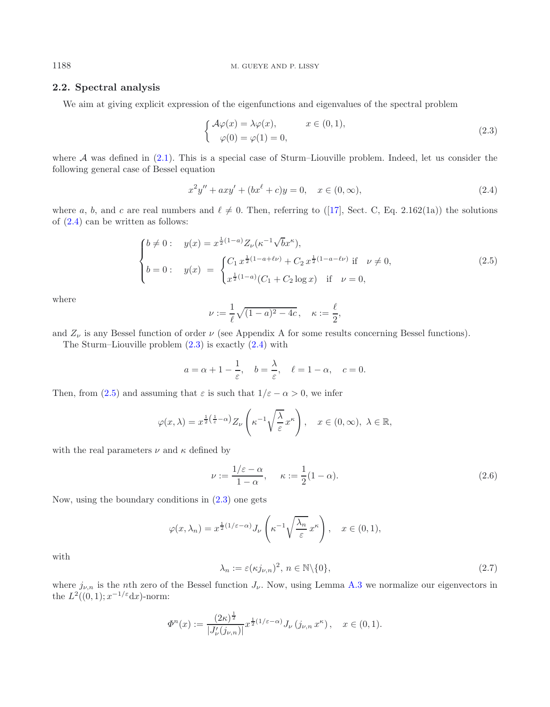### 1188 M. GUEYE AND P. LISSY

# **2.2. Spectral analysis**

<span id="page-4-2"></span>We aim at giving explicit expression of the eigenfunctions and eigenvalues of the spectral problem

<span id="page-4-1"></span>
$$
\begin{cases}\n\mathcal{A}\varphi(x) = \lambda\varphi(x), & x \in (0,1), \\
\varphi(0) = \varphi(1) = 0,\n\end{cases}
$$
\n(2.3)

where A was defined in  $(2.1)$ . This is a special case of Sturm–Liouville problem. Indeed, let us consider the following general case of Bessel equation

$$
x^{2}y'' + axy' + (bx^{\ell} + c)y = 0, \quad x \in (0, \infty),
$$
\n(2.4)

where a, b, and c are real numbers and  $\ell \neq 0$ . Then, referring to ([\[17](#page-19-11)], Sect. C, Eq. 2.162(1a)) the solutions of [\(2.4\)](#page-4-0) can be written as follows:

$$
\begin{cases}\nb \neq 0: & y(x) = x^{\frac{1}{2}(1-a)} Z_{\nu} (\kappa^{-1} \sqrt{b} x^{\kappa}), \\
b = 0: & y(x) = \begin{cases}\nC_1 x^{\frac{1}{2}(1-a+\ell\nu)} + C_2 x^{\frac{1}{2}(1-a-\ell\nu)} \text{ if } \nu \neq 0, \\
x^{\frac{1}{2}(1-a)} (C_1 + C_2 \log x) \text{ if } \nu = 0,\n\end{cases} (2.5)
$$

where

<span id="page-4-3"></span>
$$
\nu := \frac{1}{\ell} \sqrt{(1-a)^2 - 4c}, \quad \kappa := \frac{\ell}{2},
$$

and  $Z_{\nu}$  is any Bessel function of order  $\nu$  (see Appendix A for some results concerning Bessel functions).

The Sturm–Liouville problem  $(2.3)$  is exactly  $(2.4)$  with

$$
a = \alpha + 1 - \frac{1}{\varepsilon}, \quad b = \frac{\lambda}{\varepsilon}, \quad \ell = 1 - \alpha, \quad c = 0.
$$

<span id="page-4-4"></span>Then, from [\(2.5\)](#page-4-2) and assuming that  $\varepsilon$  is such that  $1/\varepsilon - \alpha > 0$ , we infer

$$
\varphi(x,\lambda) = x^{\frac{1}{2}(\frac{1}{\varepsilon}-\alpha)} Z_{\nu}\left(\kappa^{-1}\sqrt{\frac{\lambda}{\varepsilon}}x^{\kappa}\right), \quad x \in (0,\infty), \ \lambda \in \mathbb{R},
$$

with the real parameters  $\nu$  and  $\kappa$  defined by

$$
\nu := \frac{1/\varepsilon - \alpha}{1 - \alpha}, \quad \kappa := \frac{1}{2}(1 - \alpha). \tag{2.6}
$$

Now, using the boundary conditions in  $(2.3)$  one gets

$$
\varphi(x,\lambda_n) = x^{\frac{1}{2}(1/\varepsilon - \alpha)} J_{\nu}\left(\kappa^{-1}\sqrt{\frac{\lambda_n}{\varepsilon}}x^{\kappa}\right), \quad x \in (0,1),
$$

with

$$
\lambda_n := \varepsilon(\kappa j_{\nu,n})^2, \ n \in \mathbb{N} \setminus \{0\},\tag{2.7}
$$

where  $j_{\nu,n}$  is the nth zero of the Bessel function  $J_{\nu}$ . Now, using Lemma [A.3](#page-2-0) we normalize our eigenvectors in the  $L^2((0,1); x^{-1/\varepsilon}dx)$ -norm:

$$
\Phi^n(x) := \frac{(2\kappa)^{\frac{1}{2}}}{|J'_\nu(j_{\nu,n})|} x^{\frac{1}{2}(1/\varepsilon - \alpha)} J_\nu(j_{\nu,n} x^\kappa), \quad x \in (0,1).
$$

<span id="page-4-0"></span>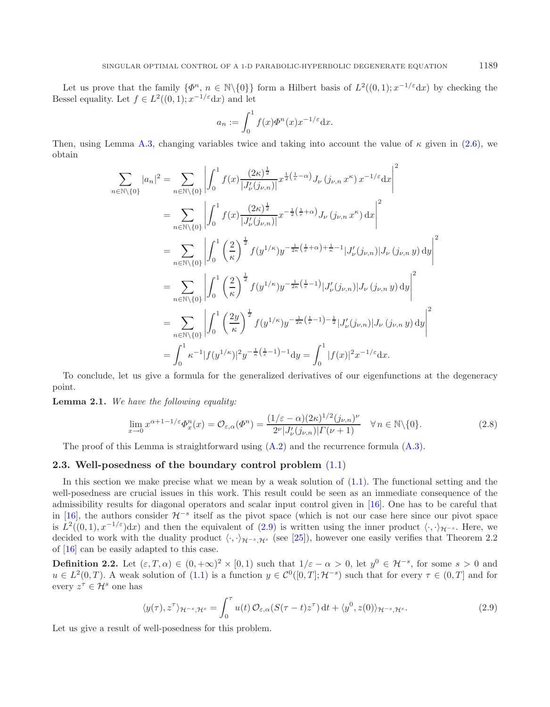Let us prove that the family  $\{\Phi^n, n \in \mathbb{N}\setminus\{0\}\}\)$  form a Hilbert basis of  $L^2((0,1); x^{-1/\epsilon}dx)$  by checking the Bessel equality. Let  $f \in L^2((0, 1); x^{-1/\varepsilon} dx)$  and let

$$
a_n := \int_0^1 f(x) \Phi^n(x) x^{-1/\varepsilon} \mathrm{d}x.
$$

<span id="page-5-1"></span>Then, using Lemma [A.3,](#page-2-0) changing variables twice and taking into account the value of  $\kappa$  given in [\(2.6\)](#page-4-3), we obtain

<span id="page-5-2"></span>
$$
\sum_{n \in \mathbb{N} \setminus \{0\}} |a_n|^2 = \sum_{n \in \mathbb{N} \setminus \{0\}} \left| \int_0^1 f(x) \frac{(2\kappa)^{\frac{1}{2}}}{|J'_{\nu}(j_{\nu,n})|} x^{\frac{1}{2}(\frac{1}{\varepsilon} - \alpha)} J_{\nu}(j_{\nu,n} x^{\kappa}) x^{-1/\varepsilon} dx \right|^2
$$
\n
$$
= \sum_{n \in \mathbb{N} \setminus \{0\}} \left| \int_0^1 f(x) \frac{(2\kappa)^{\frac{1}{2}}}{|J'_{\nu}(j_{\nu,n})|} x^{-\frac{1}{2}(\frac{1}{\varepsilon} + \alpha)} J_{\nu}(j_{\nu,n} x^{\kappa}) dx \right|^2
$$
\n
$$
= \sum_{n \in \mathbb{N} \setminus \{0\}} \left| \int_0^1 \left(\frac{2}{\kappa}\right)^{\frac{1}{2}} f(y^{1/\kappa}) y^{-\frac{1}{2\kappa}(\frac{1}{\varepsilon} + \alpha) + \frac{1}{\kappa} - 1} |J'_{\nu}(j_{\nu,n})| J_{\nu}(j_{\nu,n} y) dy \right|^2
$$
\n
$$
= \sum_{n \in \mathbb{N} \setminus \{0\}} \left| \int_0^1 \left(\frac{2}{\kappa}\right)^{\frac{1}{2}} f(y^{1/\kappa}) y^{-\frac{1}{2\kappa}(\frac{1}{\varepsilon} - 1)} |J'_{\nu}(j_{\nu,n})| J_{\nu}(j_{\nu,n} y) dy \right|^2
$$
\n
$$
= \sum_{n \in \mathbb{N} \setminus \{0\}} \left| \int_0^1 \left(\frac{2y}{\kappa}\right)^{\frac{1}{2}} f(y^{1/\kappa}) y^{-\frac{1}{2\kappa}(\frac{1}{\varepsilon} - 1)} - \frac{1}{2} |J'_{\nu}(j_{\nu,n})| J_{\nu}(j_{\nu,n} y) dy \right|^2
$$
\n
$$
= \int_0^1 \kappa^{-1} |f(y^{1/\kappa})|^2 y^{-\frac{1}{\kappa}(\frac{1}{\varepsilon} - 1)} - 1 dy = \int_0^1 |f(x)|^2 x^{-1/\varepsilon} dx.
$$

To conclude, let us give a formula for the generalized derivatives of our eigenfunctions at the degeneracy point.

**Lemma 2.1.** *We have the following equality:*

<span id="page-5-3"></span>
$$
\lim_{x \to 0} x^{\alpha+1-1/\varepsilon} \Phi_x^n(x) = \mathcal{O}_{\varepsilon,\alpha}(\Phi^n) = \frac{(1/\varepsilon - \alpha)(2\kappa)^{1/2}(j_{\nu,n})^{\nu}}{2^{\nu}|J'_{\nu}(j_{\nu,n})| \Gamma(\nu+1)} \quad \forall n \in \mathbb{N} \setminus \{0\}. \tag{2.8}
$$

<span id="page-5-0"></span>The proof of this Lemma is straightforward using  $(A.2)$  and the recurrence formula  $(A.3)$ .

#### **2.3. Well-posedness of the boundary control problem** [\(1.1\)](#page-0-0)

In this section we make precise what we mean by a weak solution of  $(1.1)$ . The functional setting and the well-posedness are crucial issues in this work. This result could be seen as an immediate consequence of the admissibility results for diagonal operators and scalar input control given in [\[16\]](#page-19-6). One has to be careful that in [\[16](#page-19-6)], the authors consider  $\mathcal{H}^{-s}$  itself as the pivot space (which is not our case here since our pivot space is  $L^2((0,1), x^{-1/\varepsilon})dx$  and then the equivalent of [\(2.9\)](#page-5-0) is written using the inner product  $\langle \cdot, \cdot \rangle_{\mathcal{H}^{-s}}$ . Here, we decided to work with the duality product  $\langle \cdot, \cdot \rangle_{\mathcal{H}^{-s},\mathcal{H}^s}$  (see [\[25\]](#page-19-10)), however one easily verifies that Theorem 2.2 of [\[16\]](#page-19-6) can be easily adapted to this case.

**Definition 2.2.** Let  $(\varepsilon, T, \alpha) \in (0, +\infty)^2 \times [0, 1)$  such that  $1/\varepsilon - \alpha > 0$ , let  $y^0 \in \mathcal{H}^{-s}$ , for some  $s > 0$  and  $u \in L^2(0,T)$ . A weak solution of  $(1.1)$  is a function  $y \in C^0([0,T]; \mathcal{H}^{-s})$  such that for every  $\tau \in (0,T]$  and for every  $z^{\tau} \in \mathcal{H}^s$  one has

$$
\langle y(\tau), z^{\tau} \rangle_{\mathcal{H}^{-s}, \mathcal{H}^{s}} = \int_{0}^{\tau} u(t) \, \mathcal{O}_{\varepsilon, \alpha}(S(\tau - t)z^{\tau}) \, \mathrm{d}t + \langle y^{0}, z(0) \rangle_{\mathcal{H}^{-s}, \mathcal{H}^{s}}. \tag{2.9}
$$

Let us give a result of well-posedness for this problem.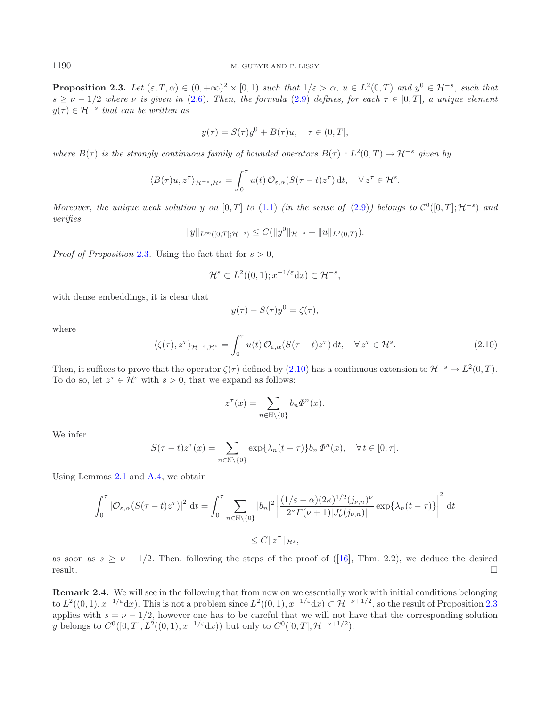<span id="page-6-0"></span>**Proposition 2.3.** Let  $(\varepsilon, T, \alpha) \in (0, +\infty)^2 \times [0, 1)$  *such that*  $1/\varepsilon > \alpha$ ,  $u \in L^2(0, T)$  and  $u^0 \in \mathcal{H}^{-s}$ *, such that*  $s \geq \nu - 1/2$  where  $\nu$  *is given in* [\(2.6\)](#page-4-3). Then, the formula [\(2.9\)](#page-5-0) defines, for each  $\tau \in [0, T]$ , a unique element  $y(\tau) \in \mathcal{H}^{-s}$  that can be written as

$$
y(\tau) = S(\tau)y^{0} + B(\tau)u, \quad \tau \in (0, T],
$$

*where*  $B(\tau)$  *is the strongly continuous family of bounded operators*  $B(\tau) : L^2(0,T) \to \mathcal{H}^{-s}$  *given by* 

$$
\langle B(\tau)u, z^{\tau}\rangle_{\mathcal{H}^{-s},\mathcal{H}^{s}} = \int_0^{\tau} u(t) \, \mathcal{O}_{\varepsilon,\alpha}(S(\tau-t)z^{\tau}) \, \mathrm{d}t, \quad \forall \, z^{\tau} \in \mathcal{H}^{s}.
$$

<span id="page-6-1"></span>*Moreover, the unique weak solution* y *on* [0, T] *to* [\(1.1\)](#page-0-0) *(in the sense of* [\(2.9\)](#page-5-0)) *belongs to*  $\mathcal{C}^0([0,T]; \mathcal{H}^{-s})$  *and verifies*

$$
||y||_{L^{\infty}([0,T];\mathcal{H}^{-s})} \leq C(||y^{0}||_{\mathcal{H}^{-s}} + ||u||_{L^{2}(0,T)}).
$$

*Proof of Proposition* [2.3](#page-6-0). Using the fact that for  $s > 0$ ,

$$
\mathcal{H}^s \subset L^2((0,1); x^{-1/\varepsilon} \mathrm{d}x) \subset \mathcal{H}^{-s},
$$

with dense embeddings, it is clear that

$$
y(\tau) - S(\tau)y^0 = \zeta(\tau),
$$

where

$$
\langle \zeta(\tau), z^{\tau} \rangle_{\mathcal{H}^{-s}, \mathcal{H}^s} = \int_0^{\tau} u(t) \, \mathcal{O}_{\varepsilon, \alpha}(S(\tau - t)z^{\tau}) \, \mathrm{d}t, \quad \forall \, z^{\tau} \in \mathcal{H}^s. \tag{2.10}
$$

Then, it suffices to prove that the operator  $\zeta(\tau)$  defined by [\(2.10\)](#page-6-1) has a continuous extension to  $\mathcal{H}^{-s} \to L^2(0,T)$ . To do so, let  $z^{\tau} \in \mathcal{H}^s$  with  $s > 0$ , that we expand as follows:

$$
z^{\tau}(x) = \sum_{n \in \mathbb{N} \setminus \{0\}} b_n \Phi^n(x).
$$

We infer

$$
S(\tau - t)z^{\tau}(x) = \sum_{n \in \mathbb{N} \setminus \{0\}} \exp\{\lambda_n(t - \tau)\} b_n \varPhi^n(x), \quad \forall t \in [0, \tau].
$$

Using Lemmas [2.1](#page-5-1) and [A.4,](#page-2-1) we obtain

$$
\int_0^{\tau} |\mathcal{O}_{\varepsilon,\alpha}(S(\tau-t)z^{\tau})|^2 dt = \int_0^{\tau} \sum_{n \in \mathbb{N} \setminus \{0\}} |b_n|^2 \left| \frac{(1/\varepsilon - \alpha)(2\kappa)^{1/2} (j_{\nu,n})^{\nu}}{2^{\nu} \Gamma(\nu+1) |J'_{\nu}(j_{\nu,n})|} \exp{\lambda_n (t-\tau)} \right|^2 dt
$$
  

$$
\leq C \|z^{\tau}\|_{\mathcal{H}^s},
$$

as soon as  $s \geq \nu - 1/2$ . Then, following the steps of the proof of ([\[16\]](#page-19-6), Thm. 2.2), we deduce the desired  $\Box$  result.

**Remark 2.4.** We will see in the following that from now on we essentially work with initial conditions belonging to  $L^2((0,1), x^{-1/\varepsilon}dx)$ . This is not a problem since  $L^2((0,1), x^{-1/\varepsilon}dx) \subset \mathcal{H}^{-\nu+1/2}$ , so the result of Proposition [2.3](#page-6-0) applies with  $s = \nu - 1/2$ , however one has to be careful that we will not have that the corresponding solution y belongs to  $C^0([0,T], L^2((0,1), x^{-1/\varepsilon}dx))$  but only to  $C^0([0,T], \mathcal{H}^{-\nu+1/2})$ .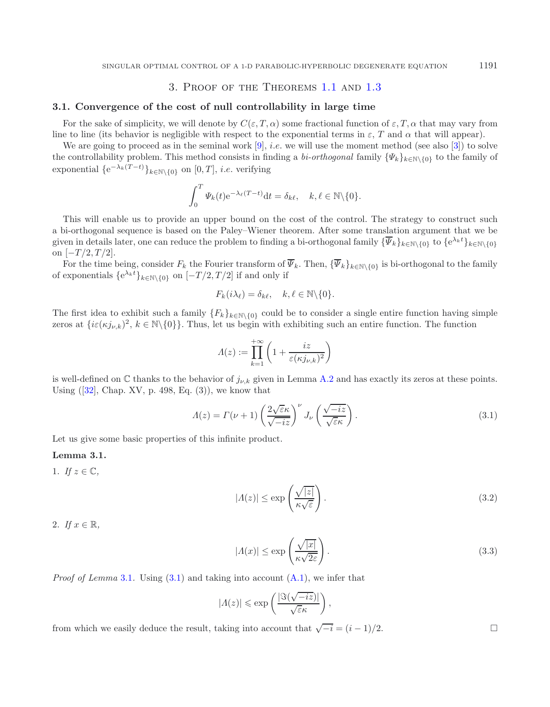# 3. Proof of the Theorems [1.1](#page-1-1) and [1.3](#page-2-0)

## **3.1. Convergence of the cost of null controllability in large time**

For the sake of simplicity, we will denote by  $C(\varepsilon, T, \alpha)$  some fractional function of  $\varepsilon, T, \alpha$  that may vary from line to line (its behavior is negligible with respect to the exponential terms in  $\varepsilon$ , T and  $\alpha$  that will appear).

We are going to proceed as in the seminal work [\[9](#page-18-3)], *i.e.* we will use the moment method (see also [\[3](#page-18-12)]) to solve the controllability problem. This method consists in finding a *bi-orthogonal* family  $\{\Psi_k\}_{k\in\mathbb{N}\setminus\{0\}}$  to the family of exponential  $\{e^{-\lambda_k(T-t)}\}_{k \in \mathbb{N}\setminus\{0\}}$  on  $[0, T]$ , *i.e.* verifying

$$
\int_0^T \varPsi_k(t) e^{-\lambda_{\ell}(T-t)} dt = \delta_{k\ell}, \quad k, \ell \in \mathbb{N} \backslash \{0\}.
$$

This will enable us to provide an upper bound on the cost of the control. The strategy to construct such a bi-orthogonal sequence is based on the Paley–Wiener theorem. After some translation argument that we be given in details later, one can reduce the problem to finding a bi-orthogonal family  $\{\overline{\Psi}_k\}_{k\in\mathbb{N}\setminus\{0\}}$  to  $\{e^{\lambda_k t}\}_{k\in\mathbb{N}\setminus\{0\}}$ on  $[-T/2, T/2]$ .

For the time being, consider  $F_k$  the Fourier transform of  $\overline{\Psi}_k$ . Then,  ${\{\overline{\Psi}_k\}}_{k\in\mathbb{N}\setminus\{0\}}$  is bi-orthogonal to the family of exponentials  $\{e^{\lambda_k t}\}_{k \in \mathbb{N}\setminus\{0\}}$  on  $[-T/2, T/2]$  if and only if

<span id="page-7-1"></span><span id="page-7-0"></span>
$$
F_k(i\lambda_\ell) = \delta_{k\ell}, \quad k, \ell \in \mathbb{N} \backslash \{0\}.
$$

The first idea to exhibit such a family  ${F_k}_{k \in \mathbb{N} \setminus \{0\}}$  could be to consider a single entire function having simple zeros at  $\{i\varepsilon(\kappa j_{\nu,k})^2, k \in \mathbb{N}\setminus\{0\}\}.$  Thus, let us begin with exhibiting such an entire function. The function

<span id="page-7-3"></span>
$$
\varLambda(z):=\prod_{k=1}^{+\infty}\left(1+\frac{iz}{\varepsilon(\kappa j_{\nu,k})^2}\right)
$$

is well-defined on  $\mathbb C$  thanks to the behavior of  $j_{\nu,k}$  given in Lemma [A.2](#page-1-2) and has exactly its zeros at these points. Using  $([32], \text{Chap. XV}, p. 498, Eq. (3)),$  $([32], \text{Chap. XV}, p. 498, Eq. (3)),$  $([32], \text{Chap. XV}, p. 498, Eq. (3)),$  we know that

$$
\Lambda(z) = \Gamma(\nu + 1) \left(\frac{2\sqrt{\varepsilon}\kappa}{\sqrt{-iz}}\right)^{\nu} J_{\nu} \left(\frac{\sqrt{-iz}}{\sqrt{\varepsilon}\kappa}\right). \tag{3.1}
$$

Let us give some basic properties of this infinite product.

### **Lemma 3.1.**

1. If  $z \in \mathbb{C}$ ,

<span id="page-7-2"></span>
$$
|A(z)| \le \exp\left(\frac{\sqrt{|z|}}{\kappa\sqrt{\varepsilon}}\right). \tag{3.2}
$$

2. *If*  $x \in \mathbb{R}$ ,

$$
|A(x)| \le \exp\left(\frac{\sqrt{|x|}}{\kappa\sqrt{2\varepsilon}}\right). \tag{3.3}
$$

*Proof of Lemma* [3.1](#page-7-0). Using [\(3.1\)](#page-7-1) and taking into account  $(A.1)$ , we infer that

$$
|A(z)| \leqslant \exp\left(\frac{|\Im(\sqrt{-iz})|}{\sqrt{\varepsilon}\kappa}\right),
$$

from which we easily deduce the result, taking into account that  $\sqrt{-i} = (i-1)/2$ .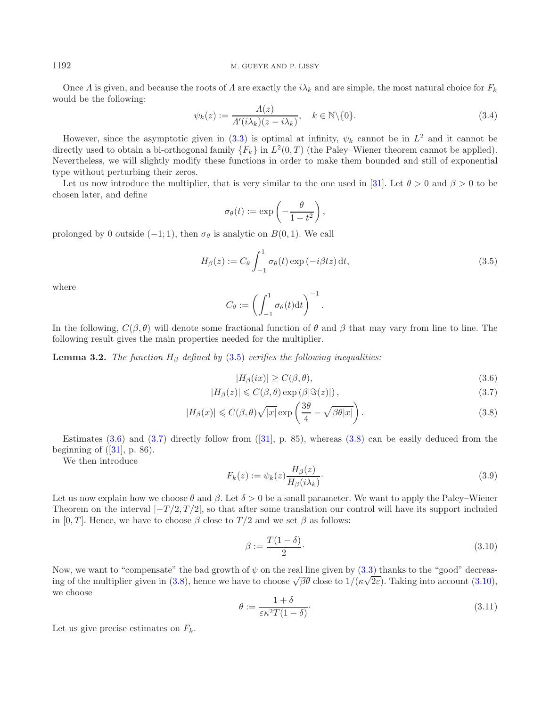### <span id="page-8-7"></span>1192 M. GUEYE AND P. LISSY

Once  $\Lambda$  is given, and because the roots of  $\Lambda$  are exactly the  $i\lambda_k$  and are simple, the most natural choice for  $F_k$ would be the following:

<span id="page-8-0"></span>
$$
\psi_k(z) := \frac{\Lambda(z)}{\Lambda'(i\lambda_k)(z - i\lambda_k)}, \quad k \in \mathbb{N} \setminus \{0\}.
$$
\n(3.4)

However, since the asymptotic given in [\(3.3\)](#page-7-2) is optimal at infinity,  $\psi_k$  cannot be in  $L^2$  and it cannot be directly used to obtain a bi-orthogonal family  $\{F_k\}$  in  $L^2(0,T)$  (the Paley–Wiener theorem cannot be applied). Nevertheless, we will slightly modify these functions in order to make them bounded and still of exponential type without perturbing their zeros.

Let us now introduce the multiplier, that is very similar to the one used in [\[31](#page-19-7)]. Let  $\theta > 0$  and  $\beta > 0$  to be chosen later, and define

<span id="page-8-1"></span>
$$
\sigma_{\theta}(t) := \exp\left(-\frac{\theta}{1-t^2}\right),\,
$$

prolonged by 0 outside (−1; 1), then  $\sigma_{\theta}$  is analytic on  $B(0, 1)$ . We call

$$
H_{\beta}(z) := C_{\theta} \int_{-1}^{1} \sigma_{\theta}(t) \exp\left(-i\beta t z\right) dt,
$$
\n(3.5)

where

<span id="page-8-3"></span><span id="page-8-2"></span>
$$
C_{\theta} := \left( \int_{-1}^{1} \sigma_{\theta}(t) dt \right)^{-1}.
$$

<span id="page-8-6"></span>In the following,  $C(\beta, \theta)$  will denote some fractional function of  $\theta$  and  $\beta$  that may vary from line to line. The following result gives the main properties needed for the multiplier.

**Lemma 3.2.** *The function*  $H_\beta$  *defined by* [\(3.5\)](#page-8-0) *verifies the following inequalities:* 

<span id="page-8-4"></span>
$$
|H_{\beta}(ix)| \ge C(\beta, \theta),\tag{3.6}
$$

$$
|H_{\beta}(z)| \leqslant C(\beta, \theta) \exp\left(\beta |\Im(z)|\right),\tag{3.7}
$$

$$
|H_{\beta}(x)| \leq C(\beta, \theta) \sqrt{|x|} \exp\left(\frac{3\theta}{4} - \sqrt{\beta \theta |x|}\right).
$$
 (3.8)

<span id="page-8-8"></span>Estimates  $(3.6)$  and  $(3.7)$  directly follow from  $([31], p. 85)$  $([31], p. 85)$  $([31], p. 85)$ , whereas  $(3.8)$  can be easily deduced from the beginning of  $([31], p. 86)$  $([31], p. 86)$  $([31], p. 86)$ .

<span id="page-8-5"></span>We then introduce

$$
F_k(z) := \psi_k(z) \frac{H_\beta(z)}{H_\beta(i\lambda_k)}.\tag{3.9}
$$

Let us now explain how we choose  $\theta$  and  $\beta$ . Let  $\delta > 0$  be a small parameter. We want to apply the Paley–Wiener Theorem on the interval  $[-T/2, T/2]$ , so that after some translation our control will have its support included in [0, T]. Hence, we have to choose  $\beta$  close to  $T/2$  and we set  $\beta$  as follows:

$$
\beta := \frac{T(1-\delta)}{2}.\tag{3.10}
$$

Now, we want to "compensate" the bad growth of  $\psi$  on the real line given by  $(3.3)$  thanks to the "good" decreas-ing of the multiplier given in [\(3.8\)](#page-8-3), hence we have to choose  $\sqrt{\beta\theta}$  close to  $1/(\kappa\sqrt{2\varepsilon})$ . Taking into account [\(3.10\)](#page-8-4), we choose

$$
\theta := \frac{1+\delta}{\varepsilon \kappa^2 T (1-\delta)}.
$$
\n(3.11)

Let us give precise estimates on  $F_k$ .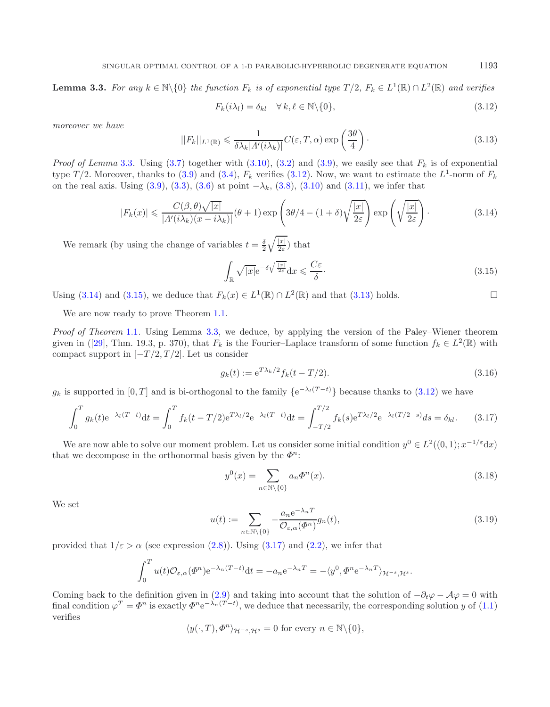<span id="page-9-3"></span>**Lemma 3.3.** *For any*  $k \in \mathbb{N}\setminus\{0\}$  *the function*  $F_k$  *is of exponential type*  $T/2$ *,*  $F_k \in L^1(\mathbb{R}) \cap L^2(\mathbb{R})$  *and verifies* 

<span id="page-9-2"></span><span id="page-9-1"></span><span id="page-9-0"></span>
$$
F_k(i\lambda_l) = \delta_{kl} \quad \forall \, k, \ell \in \mathbb{N} \setminus \{0\},\tag{3.12}
$$

*moreover we have*

$$
||F_k||_{L^1(\mathbb{R})} \leq \frac{1}{\delta \lambda_k |A'(i\lambda_k)|} C(\varepsilon, T, \alpha) \exp\left(\frac{3\theta}{4}\right). \tag{3.13}
$$

*Proof of Lemma* [3.3](#page-8-5). Using  $(3.7)$  together with  $(3.10)$ ,  $(3.2)$  and  $(3.9)$ , we easily see that  $F_k$  is of exponential type  $T/2$ . Moreover, thanks to [\(3.9\)](#page-8-6) and [\(3.4\)](#page-8-7),  $F_k$  verifies [\(3.12\)](#page-9-0). Now, we want to estimate the  $L^1$ -norm of  $F_k$ on the real axis. Using [\(3.9\)](#page-8-6), [\(3.3\)](#page-7-2), [\(3.6\)](#page-8-1) at point  $-\lambda_k$ , [\(3.8\)](#page-8-3), [\(3.10\)](#page-8-4) and [\(3.11\)](#page-8-8), we infer that

$$
|F_k(x)| \leqslant \frac{C(\beta,\theta)\sqrt{|x|}}{|A'(i\lambda_k)(x-i\lambda_k)|}(\theta+1)\exp\left(3\theta/4 - (1+\delta)\sqrt{\frac{|x|}{2\varepsilon}}\right)\exp\left(\sqrt{\frac{|x|}{2\varepsilon}}\right). \tag{3.14}
$$

We remark (by using the change of variables  $t = \frac{\delta}{2} \sqrt{\frac{|x|}{2\varepsilon}}$ ) that

<span id="page-9-6"></span><span id="page-9-4"></span>
$$
\int_{\mathbb{R}} \sqrt{|x|} e^{-\delta \sqrt{\frac{|x|}{2\varepsilon}}} dx \leqslant \frac{C\varepsilon}{\delta}.
$$
\n(3.15)

Using [\(3.14\)](#page-9-1) and [\(3.15\)](#page-9-2), we deduce that  $F_k(x) \in L^1(\mathbb{R}) \cap L^2(\mathbb{R})$  and that [\(3.13\)](#page-9-3) holds.

We are now ready to prove Theorem [1.1.](#page-1-1)

*Proof of Theorem* [1.1](#page-1-1)*.* Using Lemma [3.3,](#page-8-5) we deduce, by applying the version of the Paley–Wiener theorem given in ([\[29](#page-19-13)], Thm. 19.3, p. 370), that  $F_k$  is the Fourier–Laplace transform of some function  $f_k \in L^2(\mathbb{R})$  with compact support in  $[-T/2, T/2]$ . Let us consider

$$
g_k(t) := e^{T\lambda_k/2} f_k(t - T/2).
$$
\n(3.16)

<span id="page-9-5"></span> $g_k$  is supported in [0, T] and is bi-orthogonal to the family  $\{e^{-\lambda_l(T-t)}\}$  because thanks to [\(3.12\)](#page-9-0) we have

$$
\int_0^T g_k(t) e^{-\lambda_l (T-t)} dt = \int_0^T f_k(t - T/2) e^{T\lambda_l/2} e^{-\lambda_l (T-t)} dt = \int_{-T/2}^{T/2} f_k(s) e^{T\lambda_l/2} e^{-\lambda_l (T/2 - s)} ds = \delta_{kl}.
$$
 (3.17)

We are now able to solve our moment problem. Let us consider some initial condition  $y^0 \in L^2((0,1); x^{-1/\varepsilon}dx)$ that we decompose in the orthonormal basis given by the  $\Phi^n$ :

$$
y^{0}(x) = \sum_{n \in \mathbb{N} \setminus \{0\}} a_{n} \Phi^{n}(x).
$$
\n(3.18)

We set

$$
u(t) := \sum_{n \in \mathbb{N} \setminus \{0\}} -\frac{a_n e^{-\lambda_n T}}{\mathcal{O}_{\varepsilon,\alpha}(\Phi^n)} g_n(t),\tag{3.19}
$$

provided that  $1/\varepsilon > \alpha$  (see expression [\(2.8\)](#page-5-2)). Using [\(3.17\)](#page-9-4) and [\(2.2\)](#page-3-1), we infer that

$$
\int_0^T u(t)\mathcal{O}_{\varepsilon,\alpha}(\Phi^n) e^{-\lambda_n (T-t)} dt = -a_n e^{-\lambda_n T} = -\langle y^0, \Phi^n e^{-\lambda_n T} \rangle_{\mathcal{H}^{-s},\mathcal{H}^s}.
$$

Coming back to the definition given in [\(2.9\)](#page-5-0) and taking into account that the solution of  $-\partial_t\varphi - \mathcal{A}\varphi = 0$  with final condition  $\varphi^T = \varPhi^n$  is exactly  $\varPhi^n e^{-\lambda_n(T-t)}$ , we deduce that necessarily, the corresponding solution y of [\(1.1\)](#page-0-0) verifies

$$
\langle y(\cdot,T),\varPhi^n\rangle_{\mathcal{H}^{-s},\mathcal{H}^s}=0 \text{ for every } n\in\mathbb{N}\backslash\{0\},\
$$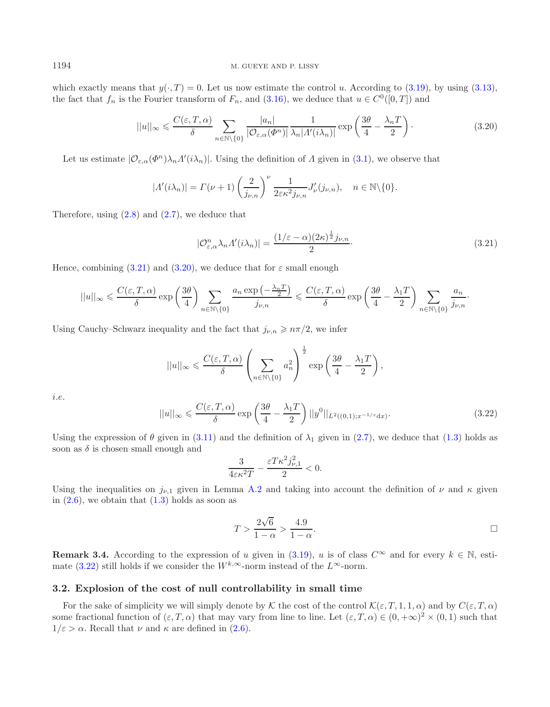which exactly means that  $y(\cdot, T) = 0$ . Let us now estimate the control u. According to [\(3.19\)](#page-9-5), by using [\(3.13\)](#page-9-3), the fact that  $f_n$  is the Fourier transform of  $F_n$ , and [\(3.16\)](#page-9-6), we deduce that  $u \in C^0([0,T])$  and

<span id="page-10-1"></span><span id="page-10-0"></span>
$$
||u||_{\infty} \leqslant \frac{C(\varepsilon, T, \alpha)}{\delta} \sum_{n \in \mathbb{N} \setminus \{0\}} \frac{|a_n|}{|\mathcal{O}_{\varepsilon, \alpha}(\Phi^n)|} \frac{1}{\lambda_n |A'(i\lambda_n)|} \exp\left(\frac{3\theta}{4} - \frac{\lambda_n T}{2}\right). \tag{3.20}
$$

Let us estimate  $|\mathcal{O}_{\varepsilon,\alpha}(\Phi^n)\lambda_n \Lambda'(i\lambda_n)|$ . Using the definition of  $\Lambda$  given in [\(3.1\)](#page-7-1), we observe that

$$
|A'(i\lambda_n)| = \Gamma(\nu+1) \left(\frac{2}{j_{\nu,n}}\right)^{\nu} \frac{1}{2\varepsilon\kappa^2 j_{\nu,n}} J'_{\nu}(j_{\nu,n}), \quad n \in \mathbb{N}\backslash\{0\}.
$$

Therefore, using  $(2.8)$  and  $(2.7)$ , we deduce that

$$
|\mathcal{O}_{\varepsilon,\alpha}^n \lambda_n \Lambda'(i\lambda_n)| = \frac{(1/\varepsilon - \alpha)(2\kappa)^{\frac{1}{2}} j_{\nu,n}}{2}.
$$
\n(3.21)

<span id="page-10-2"></span>Hence, combining  $(3.21)$  and  $(3.20)$ , we deduce that for  $\varepsilon$  small enough

$$
||u||_{\infty} \leqslant \frac{C(\varepsilon, T, \alpha)}{\delta} \exp\left(\frac{3\theta}{4}\right) \sum_{n \in \mathbb{N}\backslash\{0\}} \frac{a_n \exp\left(-\frac{\lambda_n T}{2}\right)}{j_{\nu, n}} \leqslant \frac{C(\varepsilon, T, \alpha)}{\delta} \exp\left(\frac{3\theta}{4} - \frac{\lambda_1 T}{2}\right) \sum_{n \in \mathbb{N}\backslash\{0\}} \frac{a_n}{j_{\nu, n}}.
$$

Using Cauchy–Schwarz inequality and the fact that  $j_{\nu,n} \geq n\pi/2$ , we infer

$$
||u||_{\infty} \leqslant \frac{C(\varepsilon, T, \alpha)}{\delta} \left( \sum_{n \in \mathbb{N} \setminus \{0\}} a_n^2 \right)^{\frac{1}{2}} \exp\left(\frac{3\theta}{4} - \frac{\lambda_1 T}{2}\right),
$$

i.e.

$$
||u||_{\infty} \leqslant \frac{C(\varepsilon, T, \alpha)}{\delta} \exp\left(\frac{3\theta}{4} - \frac{\lambda_1 T}{2}\right) ||y^0||_{L^2((0,1);x^{-1/\varepsilon}dx)}.
$$
\n(3.22)

Using the expression of  $\theta$  given in [\(3.11\)](#page-8-8) and the definition of  $\lambda_1$  given in [\(2.7\)](#page-4-4), we deduce that [\(1.3\)](#page-1-3) holds as soon as  $\delta$  is chosen small enough and

$$
\frac{3}{4\varepsilon\kappa^2 T}-\frac{\varepsilon T\kappa^2 j_{\nu,1}^2}{2}<0.
$$

Using the inequalities on  $j_{\nu,1}$  given in Lemma [A.2](#page-1-2) and taking into account the definition of  $\nu$  and  $\kappa$  given in  $(2.6)$ , we obtain that  $(1.3)$  holds as soon as

$$
T > \frac{2\sqrt{6}}{1-\alpha} > \frac{4.9}{1-\alpha}.
$$

**Remark 3.4.** According to the expression of u given in [\(3.19\)](#page-9-5), u is of class  $C^{\infty}$  and for every  $k \in \mathbb{N}$ , esti-mate [\(3.22\)](#page-10-2) still holds if we consider the  $W^{k,\infty}$ -norm instead of the  $L^{\infty}$ -norm.

#### **3.2. Explosion of the cost of null controllability in small time**

For the sake of simplicity we will simply denote by K the cost of the control  $\mathcal{K}(\varepsilon,T,1,1,\alpha)$  and by  $C(\varepsilon,T,\alpha)$ some fractional function of  $(\varepsilon, T, \alpha)$  that may vary from line to line. Let  $(\varepsilon, T, \alpha) \in (0, +\infty)^2 \times (0, 1)$  such that  $1/\varepsilon > \alpha$ . Recall that  $\nu$  and  $\kappa$  are defined in [\(2.6\)](#page-4-3).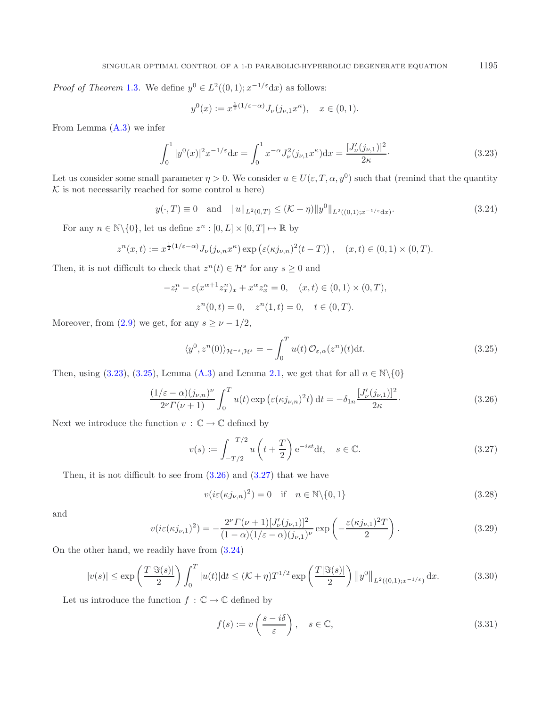<span id="page-11-0"></span>*Proof of Theorem* [1.3](#page-2-0). We define  $y^0 \in L^2((0,1); x^{-1/\varepsilon}dx)$  as follows:

<span id="page-11-4"></span>
$$
y^{0}(x) := x^{\frac{1}{2}(1/\varepsilon - \alpha)} J_{\nu}(j_{\nu,1}x^{\kappa}), \quad x \in (0,1).
$$

From Lemma  $(A.3)$  we infer

$$
\int_0^1 |y^0(x)|^2 x^{-1/\varepsilon} dx = \int_0^1 x^{-\alpha} J_\nu^2(j_{\nu,1} x^{\kappa}) dx = \frac{[J_\nu'(j_{\nu,1})]^2}{2\kappa}.
$$
 (3.23)

Let us consider some small parameter  $\eta > 0$ . We consider  $u \in U(\varepsilon, T, \alpha, y^0)$  such that (remind that the quantity  $K$  is not necessarily reached for some control u here)

<span id="page-11-1"></span>
$$
y(\cdot, T) \equiv 0
$$
 and  $||u||_{L^2(0,T)} \leq (\mathcal{K} + \eta)||y^0||_{L^2((0,1);x^{-1/\epsilon}dx)}$ . (3.24)

For any  $n \in \mathbb{N} \backslash \{0\}$ , let us define  $z^n : [0, L] \times [0, T] \mapsto \mathbb{R}$  by

$$
z^{n}(x,t) := x^{\frac{1}{2}(1/\varepsilon - \alpha)} J_{\nu}(j_{\nu,n}x^{\kappa}) \exp\left(\varepsilon (\kappa j_{\nu,n})^{2}(t-T)\right), \quad (x,t) \in (0,1) \times (0,T).
$$

Then, it is not difficult to check that  $z^{n}(t) \in \mathcal{H}^{s}$  for any  $s \geq 0$  and

<span id="page-11-3"></span><span id="page-11-2"></span>
$$
-z_t^n - \varepsilon (x^{\alpha+1} z_x^n)_x + x^\alpha z_x^n = 0, \quad (x, t) \in (0, 1) \times (0, T),
$$
  

$$
z^n(0, t) = 0, \quad z^n(1, t) = 0, \quad t \in (0, T).
$$

Moreover, from [\(2.9\)](#page-5-0) we get, for any  $s \geq \nu - 1/2$ ,

<span id="page-11-5"></span>
$$
\langle y^0, z^n(0) \rangle_{\mathcal{H}^{-s}, \mathcal{H}^s} = -\int_0^T u(t) \, \mathcal{O}_{\varepsilon, \alpha}(z^n)(t) \mathrm{d}t. \tag{3.25}
$$

<span id="page-11-6"></span>Then, using [\(3.23\)](#page-11-0), [\(3.25\)](#page-11-1), Lemma [\(A.3\)](#page-2-0) and Lemma [2.1,](#page-5-1) we get that for all  $n \in \mathbb{N}\backslash\{0\}$ 

$$
\frac{(1/\varepsilon - \alpha)(j_{\nu,n})^{\nu}}{2^{\nu} \Gamma(\nu+1)} \int_0^T u(t) \exp\left(\varepsilon (\kappa j_{\nu,n})^2 t\right) dt = -\delta_{1n} \frac{[J_{\nu}'(j_{\nu,1})]^2}{2\kappa}.
$$
\n(3.26)

Next we introduce the function  $v : \mathbb{C} \to \mathbb{C}$  defined by

<span id="page-11-8"></span><span id="page-11-7"></span>
$$
v(s) := \int_{-T/2}^{-T/2} u\left(t + \frac{T}{2}\right) e^{-ist} dt, \quad s \in \mathbb{C}.
$$
 (3.27)

Then, it is not difficult to see from  $(3.26)$  and  $(3.27)$  that we have

$$
v(i\varepsilon(\kappa j_{\nu,n})^2) = 0 \quad \text{if} \quad n \in \mathbb{N} \setminus \{0, 1\} \tag{3.28}
$$

and

$$
v(i\varepsilon(\kappa j_{\nu,1})^2) = -\frac{2^{\nu} \Gamma(\nu+1) [J_{\nu}'(j_{\nu,1})]^2}{(1-\alpha)(1/\varepsilon-\alpha)(j_{\nu,1})^{\nu}} \exp\left(-\frac{\varepsilon(\kappa j_{\nu,1})^2 T}{2}\right).
$$
 (3.29)

On the other hand, we readily have from [\(3.24\)](#page-11-4)

$$
|v(s)| \le \exp\left(\frac{T|\Im(s)|}{2}\right) \int_0^T |u(t)| \mathrm{d}t \le (\mathcal{K} + \eta) T^{1/2} \exp\left(\frac{T|\Im(s)|}{2}\right) \|y^0\|_{L^2((0,1);x^{-1/\varepsilon})} \, \mathrm{d}x. \tag{3.30}
$$

Let us introduce the function  $f\,:\,\mathbb{C}\to\mathbb{C}$  defined by

$$
f(s) := v\left(\frac{s - i\delta}{\varepsilon}\right), \quad s \in \mathbb{C},\tag{3.31}
$$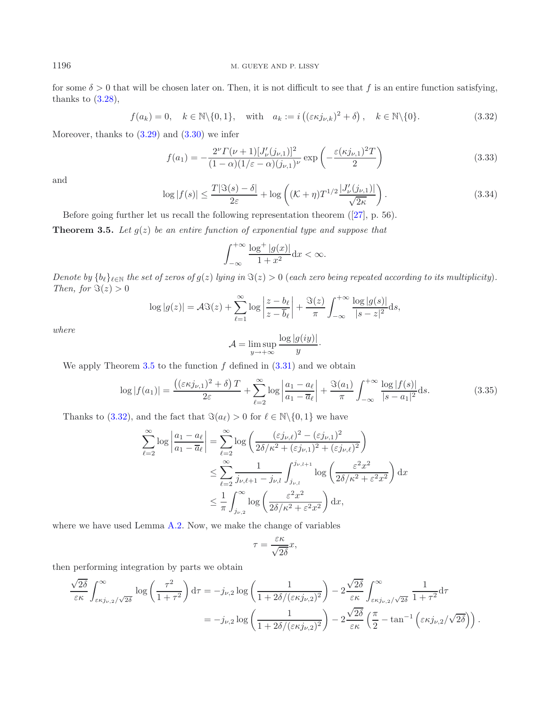for some  $\delta > 0$  that will be chosen later on. Then, it is not difficult to see that f is an entire function satisfying, thanks to  $(3.28)$ ,

<span id="page-12-3"></span>
$$
f(a_k) = 0, \quad k \in \mathbb{N} \setminus \{0, 1\}, \quad \text{with} \quad a_k := i\left( (\varepsilon \kappa j_{\nu,k})^2 + \delta \right), \quad k \in \mathbb{N} \setminus \{0\}. \tag{3.32}
$$

Moreover, thanks to  $(3.29)$  and  $(3.30)$  we infer

<span id="page-12-0"></span>
$$
f(a_1) = -\frac{2^{\nu} \Gamma(\nu + 1) [J_{\nu}'(j_{\nu,1})]^2}{(1 - \alpha)(1/\varepsilon - \alpha)(j_{\nu,1})^{\nu}} \exp\left(-\frac{\varepsilon (\kappa j_{\nu,1})^2 T}{2}\right)
$$
(3.33)

and

$$
\log|f(s)| \le \frac{T|\Im(s) - \delta|}{2\varepsilon} + \log\left((\mathcal{K} + \eta)T^{1/2}\frac{|J'_{\nu}(j_{\nu,1})|}{\sqrt{2\kappa}}\right). \tag{3.34}
$$

Before going further let us recall the following representation theorem  $(27)$ , p. 56).

**Theorem 3.5.** Let  $g(z)$  be an entire function of exponential type and suppose that

<span id="page-12-4"></span>
$$
\int_{-\infty}^{+\infty} \frac{\log^+|g(x)|}{1+x^2} \mathrm{d}x < \infty.
$$

*Denote by*  ${b_{\ell}}_{\ell \in \mathbb{N}}$  *the set of zeros of*  $g(z)$  *lying in*  $\Im(z) > 0$  (*each zero being repeated according to its multiplicity*). *Then, for*  $\Im(z) > 0$ 

$$
\log|g(z)| = \mathcal{A}\Im(z) + \sum_{\ell=1}^{\infty} \log\left|\frac{z-b_{\ell}}{z-\overline{b}_{\ell}}\right| + \frac{\Im(z)}{\pi} \int_{-\infty}^{+\infty} \frac{\log|g(s)|}{|s-z|^2} \mathrm{d}s,
$$

*where*

$$
\mathcal{A} = \limsup_{y \to +\infty} \frac{\log |g(iy)|}{y}.
$$

We apply Theorem [3.5](#page-12-0) to the function  $f$  defined in  $(3.31)$  and we obtain

$$
\log|f(a_1)| = \frac{\left((\varepsilon \kappa j_{\nu,1})^2 + \delta\right)T}{2\varepsilon} + \sum_{\ell=2}^{\infty} \log\left|\frac{a_1 - a_\ell}{a_1 - \overline{a}_\ell}\right| + \frac{\Im(a_1)}{\pi} \int_{-\infty}^{+\infty} \frac{\log|f(s)|}{|s - a_1|^2} ds. \tag{3.35}
$$

Thanks to [\(3.32\)](#page-12-1), and the fact that  $\Im(a_\ell) > 0$  for  $\ell \in \mathbb{N} \setminus \{0, 1\}$  we have

$$
\sum_{\ell=2}^{\infty} \log \left| \frac{a_1 - a_{\ell}}{a_1 - \overline{a}_{\ell}} \right| = \sum_{\ell=2}^{\infty} \log \left( \frac{(\varepsilon j_{\nu,\ell})^2 - (\varepsilon j_{\nu,1})^2}{2\delta/\kappa^2 + (\varepsilon j_{\nu,1})^2 + (\varepsilon j_{\nu,\ell})^2} \right)
$$
  

$$
\leq \sum_{\ell=2}^{\infty} \frac{1}{j_{\nu,\ell+1} - j_{\nu,l}} \int_{j_{\nu,l}}^{j_{\nu,l+1}} \log \left( \frac{\varepsilon^2 x^2}{2\delta/\kappa^2 + \varepsilon^2 x^2} \right) dx
$$
  

$$
\leq \frac{1}{\pi} \int_{j_{\nu,2}}^{\infty} \log \left( \frac{\varepsilon^2 x^2}{2\delta/\kappa^2 + \varepsilon^2 x^2} \right) dx,
$$

where we have used Lemma [A.2.](#page-1-2) Now, we make the change of variables

$$
\tau = \frac{\varepsilon \kappa}{\sqrt{2\delta}} x,
$$

then performing integration by parts we obtain

$$
\frac{\sqrt{2\delta}}{\varepsilon\kappa} \int_{\varepsilon\kappa j_{\nu,2}/\sqrt{2\delta}}^{\infty} \log\left(\frac{\tau^2}{1+\tau^2}\right) d\tau = -j_{\nu,2} \log\left(\frac{1}{1+2\delta/(\varepsilon\kappa j_{\nu,2})^2}\right) - 2\frac{\sqrt{2\delta}}{\varepsilon\kappa} \int_{\varepsilon\kappa j_{\nu,2}/\sqrt{2\delta}}^{\infty} \frac{1}{1+\tau^2} d\tau
$$

$$
= -j_{\nu,2} \log\left(\frac{1}{1+2\delta/(\varepsilon\kappa j_{\nu,2})^2}\right) - 2\frac{\sqrt{2\delta}}{\varepsilon\kappa} \left(\frac{\pi}{2} - \tan^{-1}\left(\varepsilon\kappa j_{\nu,2}/\sqrt{2\delta}\right)\right).
$$

<span id="page-12-2"></span><span id="page-12-1"></span>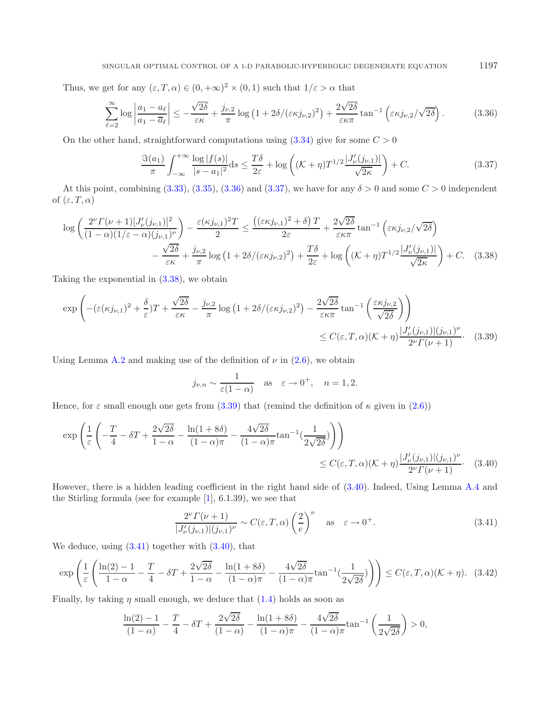Thus, we get for any  $(\varepsilon, T, \alpha) \in (0, +\infty)^2 \times (0, 1)$  such that  $1/\varepsilon > \alpha$  that

<span id="page-13-0"></span>
$$
\sum_{\ell=2}^{\infty} \log \left| \frac{a_1 - a_\ell}{a_1 - \overline{a}_\ell} \right| \le -\frac{\sqrt{2\delta}}{\varepsilon \kappa} + \frac{j_{\nu,2}}{\pi} \log \left( 1 + 2\delta / (\varepsilon \kappa j_{\nu,2})^2 \right) + \frac{2\sqrt{2\delta}}{\varepsilon \kappa \pi} \tan^{-1} \left( \varepsilon \kappa j_{\nu,2} / \sqrt{2\delta} \right). \tag{3.36}
$$

On the other hand, straightforward computations using  $(3.34)$  give for some  $C > 0$ 

<span id="page-13-3"></span><span id="page-13-2"></span><span id="page-13-1"></span>
$$
\frac{\Im(a_1)}{\pi} \int_{-\infty}^{+\infty} \frac{\log|f(s)|}{|s-a_1|^2} ds \le \frac{T\delta}{2\varepsilon} + \log\left((\mathcal{K}+\eta)T^{1/2}\frac{|J'_\nu(j_{\nu,1})|}{\sqrt{2\kappa}}\right) + C. \tag{3.37}
$$

At this point, combining [\(3.33\)](#page-12-3), [\(3.35\)](#page-12-4), [\(3.36\)](#page-13-0) and [\(3.37\)](#page-13-1), we have for any  $\delta > 0$  and some  $C > 0$  independent of  $(\varepsilon, T, \alpha)$ 

$$
\log \left( \frac{2^{\nu} \Gamma(\nu+1) [J_{\nu}'(j_{\nu,1})]^2}{(1-\alpha)(1/\varepsilon-\alpha)(j_{\nu,1})^{\nu}} \right) - \frac{\varepsilon (\kappa j_{\nu,1})^2 T}{2} \le \frac{\left( (\varepsilon \kappa j_{\nu,1})^2 + \delta \right) T}{2\varepsilon} + \frac{2\sqrt{2\delta}}{\varepsilon \kappa \pi} \tan^{-1} \left( \varepsilon \kappa j_{\nu,2}/\sqrt{2\delta} \right) -\frac{\sqrt{2\delta}}{\varepsilon \kappa} + \frac{j_{\nu,2}}{\pi} \log \left( 1 + 2\delta/(\varepsilon \kappa j_{\nu,2})^2 \right) + \frac{T\delta}{2\varepsilon} + \log \left( (\mathcal{K} + \eta) T^{1/2} \frac{|J_{\nu}'(j_{\nu,1})|}{\sqrt{2\kappa}} \right) + C. \quad (3.38)
$$

Taking the exponential in [\(3.38\)](#page-13-2), we obtain

$$
\exp\left(-(\varepsilon(\kappa j_{\nu,1})^{2}+\frac{\delta}{\varepsilon})T+\frac{\sqrt{2\delta}}{\varepsilon\kappa}-\frac{j_{\nu,2}}{\pi}\log\left(1+2\delta/(\varepsilon\kappa j_{\nu,2})^{2}\right)-\frac{2\sqrt{2\delta}}{\varepsilon\kappa\pi}\tan^{-1}\left(\frac{\varepsilon\kappa j_{\nu,2}}{\sqrt{2\delta}}\right)\right)\leq C(\varepsilon,T,\alpha)(K+\eta)\frac{|J'_{\nu}(j_{\nu,1})|(j_{\nu,1})^{\nu}}{2^{\nu}\Gamma(\nu+1)}.\tag{3.39}
$$

Using Lemma [A.2](#page-1-2) and making use of the definition of  $\nu$  in [\(2.6\)](#page-4-3), we obtain

<span id="page-13-5"></span><span id="page-13-4"></span>
$$
j_{\nu,n} \sim \frac{1}{\varepsilon(1-\alpha)}
$$
 as  $\varepsilon \to 0^+, n = 1, 2.$ 

Hence, for  $\varepsilon$  small enough one gets from [\(3.39\)](#page-13-3) that (remind the definition of  $\kappa$  given in [\(2.6\)](#page-4-3))

$$
\exp\left(\frac{1}{\varepsilon}\left(-\frac{T}{4} - \delta T + \frac{2\sqrt{2\delta}}{1-\alpha} - \frac{\ln(1+8\delta)}{(1-\alpha)\pi} - \frac{4\sqrt{2\delta}}{(1-\alpha)\pi}\tan^{-1}(\frac{1}{2\sqrt{2\delta}})\right)\right) \leq C(\varepsilon, T, \alpha)(\mathcal{K} + \eta) \frac{|J'_{\nu}(j_{\nu,1})| (j_{\nu,1})^{\nu}}{2^{\nu} \Gamma(\nu+1)}. (3.40)
$$

However, there is a hidden leading coefficient in the right hand side of [\(3.40\)](#page-13-4). Indeed, Using Lemma [A.4](#page-2-1) and the Stirling formula (see for example [\[1\]](#page-18-13), 6.1.39), we see that

$$
\frac{2^{\nu} \Gamma(\nu+1)}{|J_{\nu}'(j_{\nu,1})|(j_{\nu,1})^{\nu}} \sim C(\varepsilon, T, \alpha) \left(\frac{2}{e}\right)^{\nu} \quad \text{as} \quad \varepsilon \to 0^{+}.
$$
 (3.41)

We deduce, using  $(3.41)$  together with  $(3.40)$ , that

$$
\exp\left(\frac{1}{\varepsilon}\left(\frac{\ln(2)-1}{1-\alpha}-\frac{T}{4}-\delta T+\frac{2\sqrt{2\delta}}{1-\alpha}-\frac{\ln(1+8\delta)}{(1-\alpha)\pi}-\frac{4\sqrt{2\delta}}{(1-\alpha)\pi}\tan^{-1}(\frac{1}{2\sqrt{2\delta}})\right)\right)\leq C(\varepsilon,T,\alpha)(\mathcal{K}+\eta). \tag{3.42}
$$

Finally, by taking  $\eta$  small enough, we deduce that  $(1.4)$  holds as soon as

$$
\frac{\ln(2) - 1}{(1 - \alpha)} - \frac{T}{4} - \delta T + \frac{2\sqrt{2\delta}}{(1 - \alpha)} - \frac{\ln(1 + 8\delta)}{(1 - \alpha)\pi} - \frac{4\sqrt{2\delta}}{(1 - \alpha)\pi} \tan^{-1}\left(\frac{1}{2\sqrt{2\delta}}\right) > 0,
$$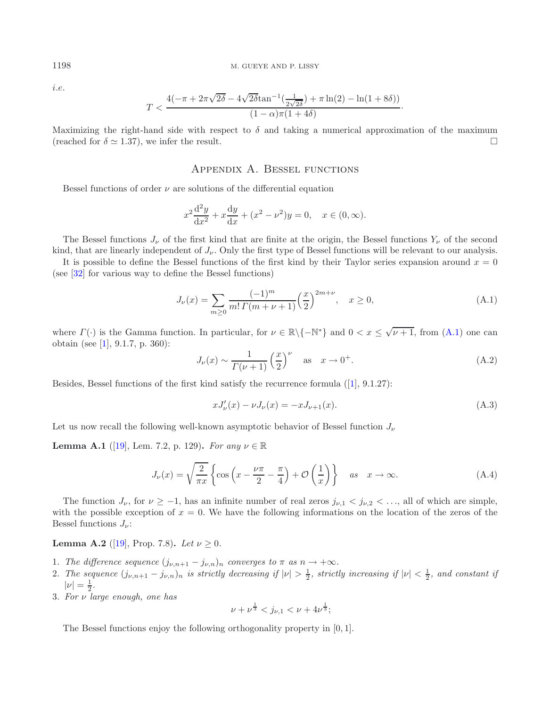i.e.

$$
T<\frac{4(-\pi+2\pi\sqrt{2\delta}-4\sqrt{2\delta}\tan^{-1}(\frac{1}{2\sqrt{2\delta}})+\pi\ln(2)-\ln(1+8\delta))}{(1-\alpha)\pi(1+4\delta)}.
$$

Maximizing the right-hand side with respect to  $\delta$  and taking a numerical approximation of the maximum (reached for  $\delta \simeq 1.37$ ), we infer the result.

## <span id="page-14-2"></span>Appendix A. Bessel functions

<span id="page-14-0"></span>Bessel functions of order  $\nu$  are solutions of the differential equation

<span id="page-14-1"></span>
$$
x^{2} \frac{d^{2} y}{dx^{2}} + x \frac{dy}{dx} + (x^{2} - \nu^{2})y = 0, \quad x \in (0, \infty).
$$

The Bessel functions  $J_{\nu}$  of the first kind that are finite at the origin, the Bessel functions  $Y_{\nu}$  of the second kind, that are linearly independent of  $J_{\nu}$ . Only the first type of Bessel functions will be relevant to our analysis.

It is possible to define the Bessel functions of the first kind by their Taylor series expansion around  $x = 0$ (see [\[32\]](#page-19-12) for various way to define the Bessel functions)

$$
J_{\nu}(x) = \sum_{m \ge 0} \frac{(-1)^m}{m! \Gamma(m + \nu + 1)} \left(\frac{x}{2}\right)^{2m + \nu}, \quad x \ge 0,
$$
 (A.1)

where  $\Gamma(\cdot)$  is the Gamma function. In particular, for  $\nu \in \mathbb{R}\setminus\{-\mathbb{N}^*\}$  and  $0 < x \leq \sqrt{\nu+1}$ , from  $(A.1)$  one can obtain (see [\[1\]](#page-18-13), 9.1.7, p. 360):

$$
J_{\nu}(x) \sim \frac{1}{\Gamma(\nu+1)} \left(\frac{x}{2}\right)^{\nu} \quad \text{as} \quad x \to 0^{+}.
$$
 (A.2)

Besides, Bessel functions of the first kind satisfy the recurrence formula ([\[1\]](#page-18-13), 9.1.27):

$$
xJ'_{\nu}(x) - \nu J_{\nu}(x) = -xJ_{\nu+1}(x).
$$
\n(A.3)

Let us now recall the following well-known asymptotic behavior of Bessel function  $J_{\nu}$ 

**Lemma A.1** ([\[19\]](#page-19-15), Lem. 7.2, p. 129). *For any*  $\nu \in \mathbb{R}$ 

$$
J_{\nu}(x) = \sqrt{\frac{2}{\pi x}} \left\{ \cos \left( x - \frac{\nu \pi}{2} - \frac{\pi}{4} \right) + \mathcal{O} \left( \frac{1}{x} \right) \right\} \quad \text{as} \quad x \to \infty. \tag{A.4}
$$

The function  $J_{\nu}$ , for  $\nu \ge -1$ , has an infinite number of real zeros  $j_{\nu,1} < j_{\nu,2} < \ldots$ , all of which are simple, with the possible exception of  $x = 0$ . We have the following informations on the location of the zeros of the Bessel functions  $J_{\nu}$ :

# **Lemma A.2** ([\[19\]](#page-19-15), Prop. 7.8). *Let*  $\nu \ge 0$ .

- 1. *The difference sequence*  $(j_{\nu,n+1} j_{\nu,n})_n$  *converges to*  $\pi$  *as*  $n \to +\infty$ *.*
- 2. The sequence  $(j_{\nu,n+1} j_{\nu,n})_n$  is strictly decreasing if  $|\nu| > \frac{1}{2}$ , strictly increasing if  $|\nu| < \frac{1}{2}$ , and constant if  $|\nu| = \frac{1}{2}$ .
- 3. *For* ν *large enough, one has*

$$
\nu + \nu^{\frac{1}{3}} < j_{\nu,1} < \nu + 4\nu^{\frac{1}{3}};
$$

The Bessel functions enjoy the following orthogonality property in [0, 1].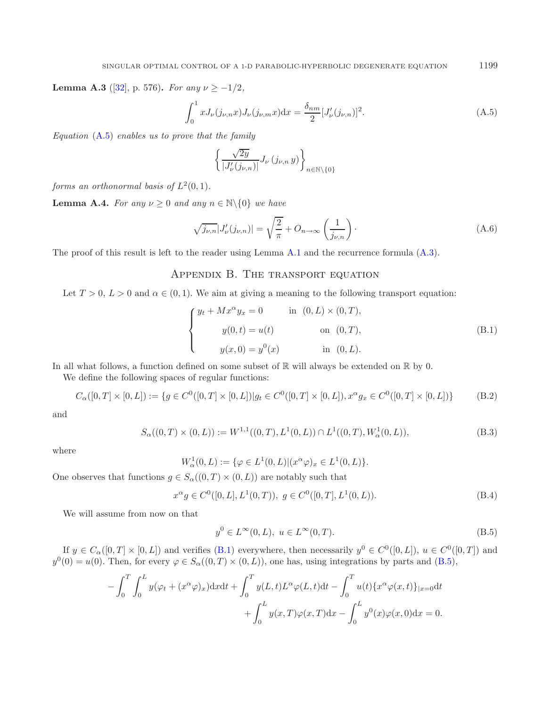**Lemma A.3** ([\[32\]](#page-19-12), p. 576). *For any*  $\nu \ge -1/2$ *,* 

<span id="page-15-0"></span>
$$
\int_0^1 x J_{\nu}(j_{\nu,n}x) J_{\nu}(j_{\nu,m}x) dx = \frac{\delta_{nm}}{2} [J'_{\nu}(j_{\nu,n})]^2.
$$
 (A.5)

*Equation* [\(A.5\)](#page-15-0) *enables us to prove that the family*

<span id="page-15-1"></span>
$$
\left\{ \frac{\sqrt{2y}}{|J_\nu'(j_{\nu,n})|} J_\nu\left(j_{\nu,n} \, y\right) \right\}_{n \in \mathbb{N} \backslash \left\{0\right\}}
$$

*forms an orthonormal basis of*  $L^2(0,1)$ *.* 

**Lemma A.4.** *For any*  $\nu \geq 0$  *and any*  $n \in \mathbb{N} \setminus \{0\}$  *we have* 

$$
\sqrt{j_{\nu,n}}|J'_{\nu}(j_{\nu,n})| = \sqrt{\frac{2}{\pi}} + O_{n \to \infty} \left(\frac{1}{j_{\nu,n}}\right).
$$
\n(A.6)

The proof of this result is left to the reader using Lemma [A.1](#page-1-1) and the recurrence formula [\(A.3\)](#page-14-1).

# Appendix B. The transport equation

Let  $T > 0$ ,  $L > 0$  and  $\alpha \in (0, 1)$ . We aim at giving a meaning to the following transport equation:

<span id="page-15-3"></span>
$$
\begin{cases}\n y_t + Mx^{\alpha}y_x = 0 & \text{in } (0, L) \times (0, T), \\
 y(0, t) = u(t) & \text{on } (0, T), \\
 y(x, 0) = y^0(x) & \text{in } (0, L).\n\end{cases}
$$
\n(B.1)

In all what follows, a function defined on some subset of  $\mathbb R$  will always be extended on  $\mathbb R$  by 0.

We define the following spaces of regular functions:

$$
C_{\alpha}([0,T] \times [0,L]) := \{ g \in C^{0}([0,T] \times [0,L]) | g_t \in C^{0}([0,T] \times [0,L]), x^{\alpha} g_x \in C^{0}([0,T] \times [0,L]) \}
$$
(B.2)

and

<span id="page-15-2"></span>
$$
S_{\alpha}((0,T) \times (0,L)) := W^{1,1}((0,T), L^1(0,L)) \cap L^1((0,T), W^1_{\alpha}(0,L)),
$$
\n(B.3)

where

$$
W_{\alpha}^1(0,L):=\{\varphi\in L^1(0,L)| (x^{\alpha}\varphi)_x\in L^1(0,L)\}.
$$

One observes that functions  $g \in S_\alpha((0,T) \times (0,L))$  are notably such that

$$
x^{\alpha}g \in C^{0}([0, L], L^{1}(0, T)), g \in C^{0}([0, T], L^{1}(0, L)).
$$
\n(B.4)

We will assume from now on that

$$
y^0 \in L^{\infty}(0, L), \ u \in L^{\infty}(0, T). \tag{B.5}
$$

If  $y \in C_\alpha([0,T] \times [0,L])$  and verifies [\(B.1\)](#page-15-1) everywhere, then necessarily  $y^0 \in C^0([0,L])$ ,  $u \in C^0([0,T])$  and  $y^0(0) = u(0)$ . Then, for every  $\varphi \in S_\alpha((0,T) \times (0,L))$ , one has, using integrations by parts and  $(B.5)$ ,

$$
-\int_0^T \int_0^L y(\varphi_t + (x^{\alpha}\varphi)_x) dxdt + \int_0^T y(L,t)L^{\alpha}\varphi(L,t)dt - \int_0^T u(t)\{x^{\alpha}\varphi(x,t)\}_{|x=0} dt + \int_0^L y(x,T)\varphi(x,T)dx - \int_0^L y^0(x)\varphi(x,0)dx = 0.
$$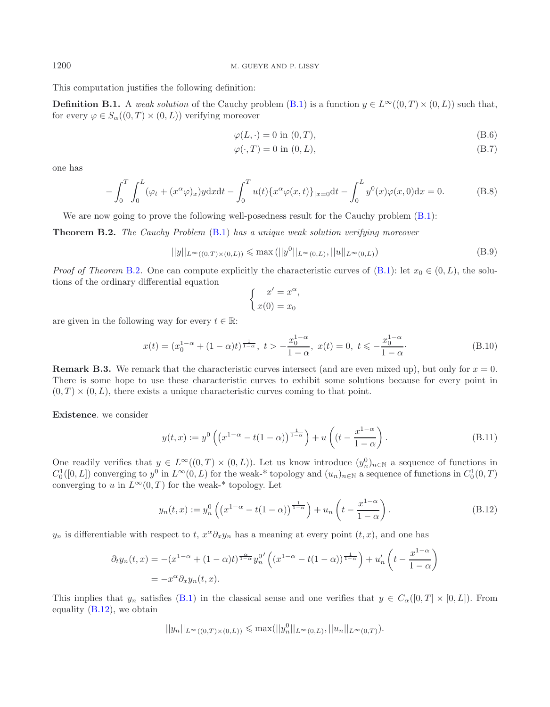This computation justifies the following definition:

**Definition B.1.** A *weak solution* of the Cauchy problem [\(B.1\)](#page-15-1) is a function  $y \in L^{\infty}((0,T) \times (0,L))$  such that, for every  $\varphi \in S_\alpha((0,T) \times (0,L))$  verifying moreover

<span id="page-16-4"></span><span id="page-16-3"></span><span id="page-16-2"></span>
$$
\varphi(L, \cdot) = 0 \text{ in } (0, T), \tag{B.6}
$$

$$
\varphi(\cdot, T) = 0 \text{ in } (0, L),\tag{B.7}
$$

one has

$$
-\int_0^T \int_0^L (\varphi_t + (x^{\alpha}\varphi)_x) y \, dx \, dt - \int_0^T u(t) \{ x^{\alpha}\varphi(x,t) \}_{|x=0} \, dt - \int_0^L y^0(x) \varphi(x,0) \, dx = 0. \tag{B.8}
$$

We are now going to prove the following well-posedness result for the Cauchy problem  $(B.1)$ :

**Theorem B.2.** *The Cauchy Problem* [\(B.1\)](#page-15-1) *has a unique weak solution verifying moreover*

$$
||y||_{L^{\infty}((0,T)\times(0,L))} \le \max (||y^{0}||_{L^{\infty}(0,L)}, ||u||_{L^{\infty}(0,L)})
$$
\n(B.9)

*Proof of Theorem* [B.2](#page-5-3). One can compute explicitly the characteristic curves of  $(B.1)$ : let  $x_0 \in (0, L)$ , the solutions of the ordinary differential equation

<span id="page-16-1"></span><span id="page-16-0"></span>
$$
\begin{cases}\nx' = x^{\alpha}, \\
x(0) = x_0\n\end{cases}
$$

are given in the following way for every  $t \in \mathbb{R}$ :

$$
x(t) = (x_0^{1-\alpha} + (1-\alpha)t)^{\frac{1}{1-\alpha}}, \ t > -\frac{x_0^{1-\alpha}}{1-\alpha}, \ x(t) = 0, \ t \leq -\frac{x_0^{1-\alpha}}{1-\alpha}.
$$
 (B.10)

**Remark B.3.** We remark that the characteristic curves intersect (and are even mixed up), but only for  $x = 0$ . There is some hope to use these characteristic curves to exhibit some solutions because for every point in  $(0, T) \times (0, L)$ , there exists a unique characteristic curves coming to that point.

**Existence**. we consider

$$
y(t,x) := y^0 \left( \left( x^{1-\alpha} - t(1-\alpha) \right)^{\frac{1}{1-\alpha}} \right) + u \left( \left( t - \frac{x^{1-\alpha}}{1-\alpha} \right). \tag{B.11}
$$

One readily verifies that  $y \in L^{\infty}((0,T) \times (0,L))$ . Let us know introduce  $(y_n^0)_{n \in \mathbb{N}}$  a sequence of functions in  $C_0^1([0,L])$  converging to  $y^0$  in  $L^\infty(0,L)$  for the weak-\* topology and  $(u_n)_{n\in\mathbb{N}}$  a sequence of functions in  $C_0^1(0,T)$ converging to u in  $L^{\infty}(0,T)$  for the weak-\* topology. Let

$$
y_n(t,x) := y_n^0\left(\left(x^{1-\alpha} - t(1-\alpha)\right)^{\frac{1}{1-\alpha}}\right) + u_n\left(t - \frac{x^{1-\alpha}}{1-\alpha}\right). \tag{B.12}
$$

 $y_n$  is differentiable with respect to t,  $x^\alpha \partial_x y_n$  has a meaning at every point  $(t, x)$ , and one has

$$
\partial_t y_n(t,x) = -(x^{1-\alpha} + (1-\alpha)t)^{\frac{\alpha}{1-\alpha}} y_n^{0'} \left( (x^{1-\alpha} - t(1-\alpha))^{\frac{1}{1-\alpha}} \right) + u'_n \left( t - \frac{x^{1-\alpha}}{1-\alpha} \right)
$$

$$
= -x^{\alpha} \partial_x y_n(t,x).
$$

This implies that  $y_n$  satisfies [\(B.1\)](#page-15-1) in the classical sense and one verifies that  $y \in C_\alpha([0,T] \times [0,L])$ . From equality [\(B.12\)](#page-16-1), we obtain

$$
||y_n||_{L^{\infty}((0,T)\times(0,L))} \leqslant \max(||y_n^0||_{L^{\infty}(0,L)}, ||u_n||_{L^{\infty}(0,T)}).
$$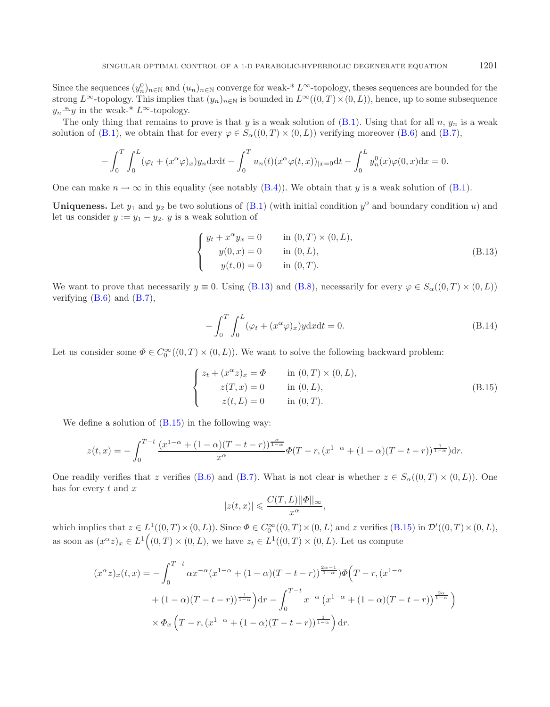Since the sequences  $(y_n^0)_{n\in\mathbb{N}}$  and  $(u_n)_{n\in\mathbb{N}}$  converge for weak-\*  $L^\infty$ -topology, theses sequences are bounded for the strong  $L^{\infty}$ -topology. This implies that  $(y_n)_{n\in\mathbb{N}}$  is bounded in  $L^{\infty}((0,T)\times(0,L))$ , hence, up to some subsequence  $y_n \triangleq y$  in the weak-\*  $L^{\infty}$ -topology.

The only thing that remains to prove is that y is a weak solution of  $(B.1)$ . Using that for all n,  $y_n$  is a weak solution of [\(B.1\)](#page-15-1), we obtain that for every  $\varphi \in S_\alpha((0,T) \times (0,L))$  verifying moreover [\(B.6\)](#page-16-2) and [\(B.7\)](#page-16-3),

<span id="page-17-0"></span>
$$
- \int_0^T \int_0^L (\varphi_t + (x^{\alpha} \varphi)_x) y_n dx dt - \int_0^T u_n(t) (x^{\alpha} \varphi(t, x))_{|x=0} dt - \int_0^L y_n^0(x) \varphi(0, x) dx = 0.
$$

One can make  $n \to \infty$  in this equality (see notably [\(B.4\)](#page-15-3)). We obtain that y is a weak solution of [\(B.1\)](#page-15-1).

**Uniqueness.** Let  $y_1$  and  $y_2$  be two solutions of [\(B.1\)](#page-15-1) (with initial condition  $y^0$  and boundary condition u) and let us consider  $y := y_1 - y_2$ . y is a weak solution of

<span id="page-17-1"></span>
$$
\begin{cases}\n y_t + x^{\alpha} y_x = 0 & \text{in } (0, T) \times (0, L), \\
 y(0, x) = 0 & \text{in } (0, L), \\
 y(t, 0) = 0 & \text{in } (0, T).\n\end{cases}
$$
\n(B.13)

We want to prove that necessarily  $y \equiv 0$ . Using [\(B.13\)](#page-17-0) and [\(B.8\)](#page-16-4), necessarily for every  $\varphi \in S_{\alpha}((0,T) \times (0,L))$ verifying [\(B.6\)](#page-16-2) and [\(B.7\)](#page-16-3),

$$
-\int_0^T \int_0^L (\varphi_t + (x^{\alpha}\varphi)_x) y \, dx \, dt = 0. \tag{B.14}
$$

Let us consider some  $\Phi \in C_0^{\infty}((0,T) \times (0,L))$ . We want to solve the following backward problem:

$$
\begin{cases}\n z_t + (x^{\alpha}z)_x = \Phi & \text{in } (0, T) \times (0, L), \\
 z(T, x) = 0 & \text{in } (0, L), \\
 z(t, L) = 0 & \text{in } (0, T).\n\end{cases}
$$
\n(B.15)

We define a solution of  $(B.15)$  in the following way:

$$
z(t,x) = -\int_0^{T-t} \frac{(x^{1-\alpha} + (1-\alpha)(T-t-r))^\frac{\alpha}{1-\alpha}}{x^{\alpha}} \Phi(T-r, (x^{1-\alpha} + (1-\alpha)(T-t-r)))^\frac{1}{1-\alpha}) dr.
$$

One readily verifies that z verifies [\(B.6\)](#page-16-2) and [\(B.7\)](#page-16-3). What is not clear is whether  $z \in S_{\alpha}(0,T) \times (0,L)$ ). One has for every  $t$  and  $x$ 

$$
|z(t,x)| \leqslant \frac{C(T,L)||\Phi||_{\infty}}{x^{\alpha}},
$$

which implies that  $z \in L^1((0,T) \times (0,L))$ . Since  $\Phi \in C_0^{\infty}((0,T) \times (0,L)$  and z verifies  $(B.15)$  in  $\mathcal{D}'((0,T) \times (0,L)$ , as soon as  $(x^{\alpha}z)_x \in L^1((0,T) \times (0,L))$ , we have  $z_t \in L^1((0,T) \times (0,L))$ . Let us compute

$$
(x^{\alpha}z)_x(t,x) = -\int_0^{T-t} \alpha x^{-\alpha} (x^{1-\alpha} + (1-\alpha)(T-t-r))^{\frac{2\alpha-1}{1-\alpha}}) \Phi\left(T-r, (x^{1-\alpha} + (1-\alpha)(T-t-r))^{\frac{2\alpha}{1-\alpha}}\right) dr - \int_0^{T-t} x^{-\alpha} (x^{1-\alpha} + (1-\alpha)(T-t-r))^{\frac{2\alpha}{1-\alpha}} dx
$$
  
 
$$
\times \Phi_x \left(T-r, (x^{1-\alpha} + (1-\alpha)(T-t-r))^{\frac{1}{1-\alpha}}\right) dr.
$$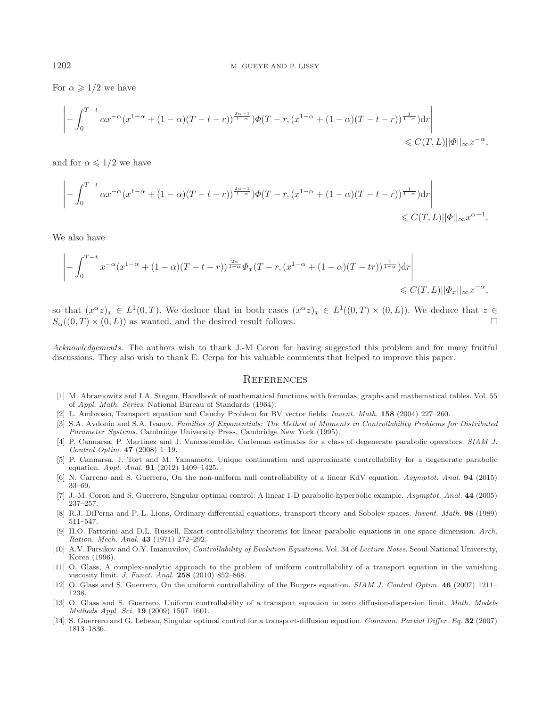For  $\alpha \geqslant 1/2$  we have

$$
\left| -\int_0^{T-t} \alpha x^{-\alpha} (x^{1-\alpha} + (1-\alpha)(T-t-r))^{2\alpha-1 \over 1-\alpha}) \Phi(T-r, (x^{1-\alpha} + (1-\alpha)(T-t-r))^{1 \over 1-\alpha}) dr \right| \leq C(T, L) \|\Phi\|_{\infty} x^{-\alpha},
$$

and for  $\alpha \leqslant 1/2$  we have

$$
\left| -\int_0^{T-t} \alpha x^{-\alpha} (x^{1-\alpha} + (1-\alpha)(T-t-r))^{2\alpha-1 \over 1-\alpha}) \Phi(T-r, (x^{1-\alpha} + (1-\alpha)(T-t-r))^{1 \over 1-\alpha}) dr \right| \leq C(T, L) \|\Phi\|_{\infty} x^{\alpha-1}.
$$

We also have

$$
\left| - \int_0^{T-t} x^{-\alpha} (x^{1-\alpha} + (1-\alpha)(T-t-r))^\frac{2\alpha}{1-\alpha} \Phi_x(T-r, (x^{1-\alpha} + (1-\alpha)(T-tr)))^\frac{1}{1-\alpha}) dr \right| \leq C(T,L) ||\Phi_x||_\infty x^{-\alpha},
$$

so that  $(x^{\alpha}z)_x \in L^1(0,T)$ . We deduce that in both cases  $(x^{\alpha}z)_x \in L^1((0,T) \times (0,L))$ . We deduce that  $z \in$  $S_{\alpha}((0,T) \times (0,L))$  as wanted, and the desired result follows.

*Acknowledgements.* The authors wish to thank J.-M Coron for having suggested this problem and for many fruitful discussions. They also wish to thank E. Cerpa for his valuable comments that helped to improve this paper.

#### **REFERENCES**

- <span id="page-18-13"></span>[1] M. Abramowitz and I.A. Stegun, Handbook of mathematical functions with formulas, graphs and mathematical tables. Vol. 55 of Appl. Math. Series. National Bureau of Standards (1964).
- <span id="page-18-0"></span>[2] L. Ambrosio, Transport equation and Cauchy Problem for BV vector fields. Invent. Math. **158** (2004) 227–260.
- <span id="page-18-12"></span>[3] S.A. Avdonin and S.A. Ivanov, Families of Exponentials: The Method of Moments in Controllability Problems for Distributed Parameter Systems. Cambridge University Press, Cambridge New York (1995).
- <span id="page-18-5"></span>[4] P. Cannarsa, P. Martinez and J. Vancostenoble, Carleman estimates for a class of degenerate parabolic operators. SIAM J. Control Optim. **47** (2008) 1–19.
- <span id="page-18-6"></span>[5] P. Cannarsa, J. Tort and M. Yamamoto, Unique continuation and approximate controllability for a degenerate parabolic equation. Appl. Anal. **91** (2012) 1409–1425.
- <span id="page-18-9"></span>[6] N. Carreno and S. Guerrero, On the non-uniform null controllability of a linear KdV equation. Asymptot. Anal. **94** (2015) 33–69.
- <span id="page-18-2"></span>[7] J.-M. Coron and S. Guerrero, Singular optimal control: A linear 1-D parabolic-hyperbolic example. Asymptot. Anal. **44** (2005) 237–257.
- <span id="page-18-1"></span>[8] R.J. DiPerna and P.-L. Lions, Ordinary differential equations, transport theory and Sobolev spaces. Invent. Math. **98** (1989) 511–547.
- <span id="page-18-3"></span>[9] H.O. Fattorini and D.L. Russell, Exact controllability theorems for linear parabolic equations in one space dimension. Arch. Ration. Mech. Anal. **43** (1971) 272–292.
- <span id="page-18-4"></span>[10] A.V. Fursikov and O.Y. Imanuvilov, Controllability of Evolution Equations. Vol. 34 of Lecture Notes. Seoul National University, Korea (1996).
- <span id="page-18-7"></span>[11] O. Glass, A complex-analytic approach to the problem of uniform controllability of a transport equation in the vanishing viscosity limit. J. Funct. Anal. **258** (2010) 852–868.
- <span id="page-18-10"></span>[12] O. Glass and S. Guerrero, On the uniform controllability of the Burgers equation. SIAM J. Control Optim. **46** (2007) 1211– 1238.
- <span id="page-18-11"></span>[13] O. Glass and S. Guerrero, Uniform controllability of a transport equation in zero diffusion-dispersion limit. Math. Models Methods Appl. Sci. **19** (2009) 1567–1601.
- <span id="page-18-8"></span>[14] S. Guerrero and G. Lebeau, Singular optimal control for a transport-diffusion equation. Commun. Partial Differ. Eq. **32** (2007) 1813–1836.